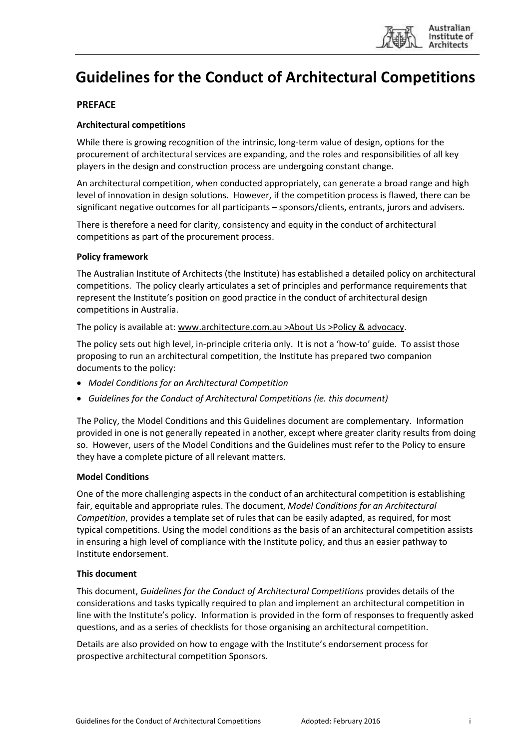

# **Guidelines for the Conduct of Architectural Competitions**

## <span id="page-0-0"></span>**PREFACE**

## <span id="page-0-1"></span>**Architectural competitions**

While there is growing recognition of the intrinsic, long-term value of design, options for the procurement of architectural services are expanding, and the roles and responsibilities of all key players in the design and construction process are undergoing constant change.

An architectural competition, when conducted appropriately, can generate a broad range and high level of innovation in design solutions. However, if the competition process is flawed, there can be significant negative outcomes for all participants – sponsors/clients, entrants, jurors and advisers.

There is therefore a need for clarity, consistency and equity in the conduct of architectural competitions as part of the procurement process.

## <span id="page-0-2"></span>**Policy framework**

The Australian Institute of Architects (the Institute) has established a detailed policy on architectural competitions. The policy clearly articulates a set of principles and performance requirements that represent the Institute's position on good practice in the conduct of architectural design competitions in Australia.

The policy is available at: www.architecture.com.au >About Us >Policy & advocacy.

The policy sets out high level, in-principle criteria only. It is not a 'how-to' guide. To assist those proposing to run an architectural competition, the Institute has prepared two companion documents to the policy:

- *Model Conditions for an Architectural Competition*
- *Guidelines for the Conduct of Architectural Competitions (ie. this document)*

The Policy, the Model Conditions and this Guidelines document are complementary. Information provided in one is not generally repeated in another, except where greater clarity results from doing so. However, users of the Model Conditions and the Guidelines must refer to the Policy to ensure they have a complete picture of all relevant matters.

## <span id="page-0-3"></span>**Model Conditions**

One of the more challenging aspects in the conduct of an architectural competition is establishing fair, equitable and appropriate rules. The document, *Model Conditions for an Architectural Competition*, provides a template set of rules that can be easily adapted, as required, for most typical competitions. Using the model conditions as the basis of an architectural competition assists in ensuring a high level of compliance with the Institute policy, and thus an easier pathway to Institute endorsement.

## <span id="page-0-4"></span>**This document**

This document, *Guidelines for the Conduct of Architectural Competitions* provides details of the considerations and tasks typically required to plan and implement an architectural competition in line with the Institute's policy. Information is provided in the form of responses to frequently asked questions, and as a series of checklists for those organising an architectural competition.

Details are also provided on how to engage with the Institute's endorsement process for prospective architectural competition Sponsors.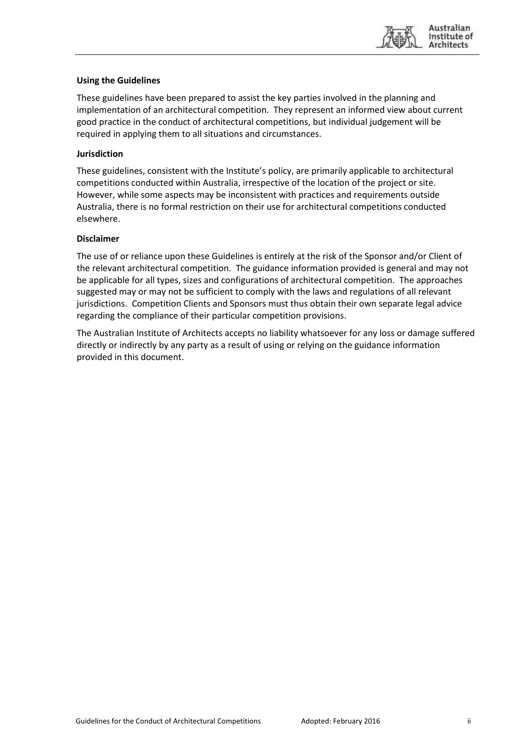## <span id="page-1-0"></span>**Using the Guidelines**

These guidelines have been prepared to assist the key parties involved in the planning and implementation of an architectural competition. They represent an informed view about current good practice in the conduct of architectural competitions, but individual judgement will be required in applying them to all situations and circumstances.

## <span id="page-1-1"></span>**Jurisdiction**

These guidelines, consistent with the Institute's policy, are primarily applicable to architectural competitions conducted within Australia, irrespective of the location of the project or site. However, while some aspects may be inconsistent with practices and requirements outside Australia, there is no formal restriction on their use for architectural competitions conducted elsewhere.

## <span id="page-1-2"></span>**Disclaimer**

The use of or reliance upon these Guidelines is entirely at the risk of the Sponsor and/or Client of the relevant architectural competition. The guidance information provided is general and may not be applicable for all types, sizes and configurations of architectural competition. The approaches suggested may or may not be sufficient to comply with the laws and regulations of all relevant jurisdictions. Competition Clients and Sponsors must thus obtain their own separate legal advice regarding the compliance of their particular competition provisions.

The Australian Institute of Architects accepts no liability whatsoever for any loss or damage suffered directly or indirectly by any party as a result of using or relying on the guidance information provided in this document.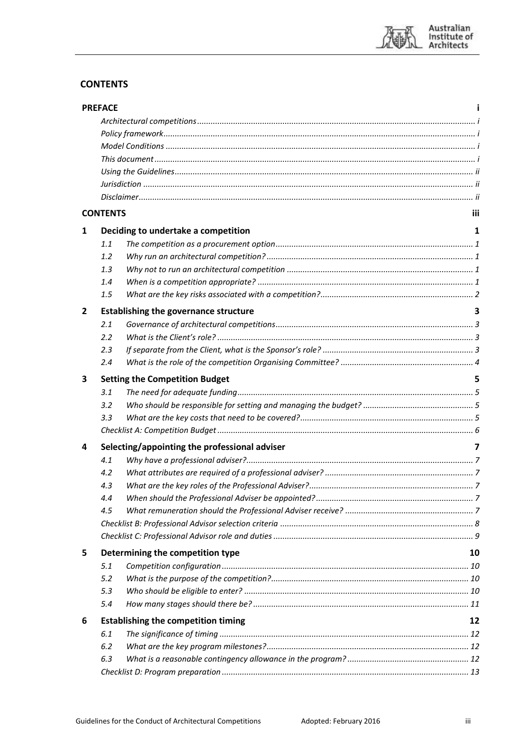## <span id="page-2-0"></span>**CONTENTS**

|              | <b>PREFACE</b>                             |                                               |     |  |  |
|--------------|--------------------------------------------|-----------------------------------------------|-----|--|--|
|              |                                            |                                               |     |  |  |
|              |                                            |                                               |     |  |  |
|              |                                            |                                               |     |  |  |
|              |                                            |                                               |     |  |  |
|              |                                            |                                               |     |  |  |
|              |                                            |                                               |     |  |  |
|              |                                            |                                               |     |  |  |
|              | <b>CONTENTS</b>                            |                                               | iii |  |  |
| 1            |                                            | Deciding to undertake a competition           | 1   |  |  |
|              | 1.1                                        |                                               |     |  |  |
|              | 1.2                                        |                                               |     |  |  |
|              | 1.3                                        |                                               |     |  |  |
|              | 1.4                                        |                                               |     |  |  |
|              | 1.5                                        |                                               |     |  |  |
| $\mathbf{2}$ |                                            | <b>Establishing the governance structure</b>  | 3   |  |  |
|              | 2.1                                        |                                               |     |  |  |
|              | $2.2^{\circ}$                              |                                               |     |  |  |
|              | 2.3                                        |                                               |     |  |  |
|              | 2.4                                        |                                               |     |  |  |
| 3            | <b>Setting the Competition Budget</b>      |                                               |     |  |  |
|              | 3.1                                        |                                               |     |  |  |
|              | 3.2                                        |                                               |     |  |  |
|              | 3.3                                        |                                               |     |  |  |
|              |                                            |                                               |     |  |  |
| 4            |                                            | Selecting/appointing the professional adviser | 7   |  |  |
|              | 4.1                                        |                                               |     |  |  |
|              | 4.2                                        |                                               |     |  |  |
|              | 4.3                                        |                                               |     |  |  |
|              | 4.4                                        |                                               |     |  |  |
|              | 4.5                                        |                                               |     |  |  |
|              |                                            |                                               |     |  |  |
|              |                                            |                                               |     |  |  |
| 5            |                                            | Determining the competition type              | 10  |  |  |
|              | 5.1                                        |                                               |     |  |  |
|              | 5.2                                        |                                               |     |  |  |
|              | 5.3                                        |                                               |     |  |  |
|              | 5.4                                        |                                               |     |  |  |
| 6            | <b>Establishing the competition timing</b> |                                               |     |  |  |
|              | 6.1                                        |                                               |     |  |  |
|              | 6.2                                        |                                               |     |  |  |
|              | 6.3                                        |                                               |     |  |  |
|              |                                            |                                               |     |  |  |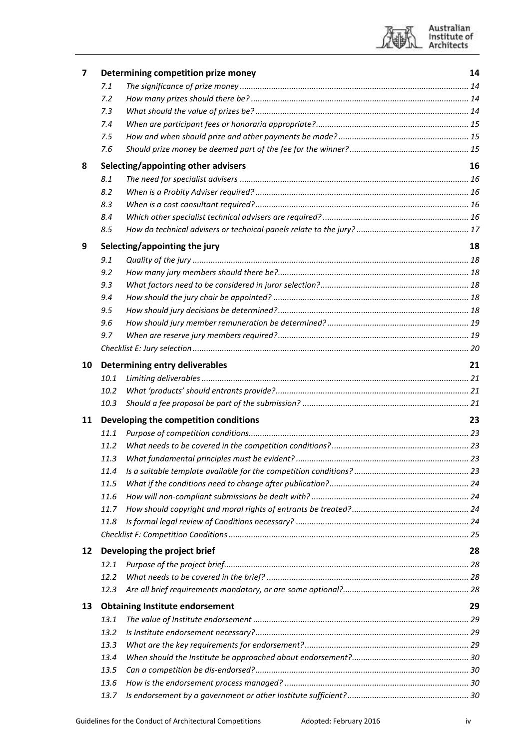

| 7  |                                       | Determining competition prize money           | 14 |
|----|---------------------------------------|-----------------------------------------------|----|
|    | 7.1                                   |                                               |    |
|    | 7.2                                   |                                               |    |
|    | 7.3                                   |                                               |    |
|    | 7.4                                   |                                               |    |
|    | 7.5                                   |                                               |    |
|    | 7.6                                   |                                               |    |
| 8  |                                       | Selecting/appointing other advisers           | 16 |
|    | 8.1                                   |                                               |    |
|    | 8.2                                   |                                               |    |
|    | 8.3                                   |                                               |    |
|    | 8.4                                   |                                               |    |
|    | 8.5                                   |                                               |    |
| 9  |                                       | Selecting/appointing the jury                 | 18 |
|    | 9.1                                   |                                               |    |
|    | 9.2                                   |                                               |    |
|    | 9.3                                   |                                               |    |
|    | 9.4                                   |                                               |    |
|    | 9.5                                   |                                               |    |
|    | 9.6                                   |                                               |    |
|    | 9.7                                   |                                               |    |
|    |                                       |                                               |    |
| 10 | <b>Determining entry deliverables</b> |                                               | 21 |
|    | 10.1                                  |                                               |    |
|    | 10.2                                  |                                               |    |
|    | 10.3                                  |                                               |    |
| 11 |                                       | Developing the competition conditions         | 23 |
|    | 11.1                                  |                                               |    |
|    | 11.2                                  |                                               |    |
|    | 11.3                                  | What fundamental principles must be evident?. |    |
|    | 11.4                                  |                                               |    |
|    | 11.5                                  |                                               |    |
|    | 11.6                                  |                                               |    |
|    | 11.7                                  |                                               |    |
|    | 11.8                                  |                                               |    |
|    |                                       |                                               |    |
| 12 |                                       | Developing the project brief                  | 28 |
|    | 12.1                                  |                                               |    |
|    | 12.2                                  |                                               |    |
|    | 12.3                                  |                                               |    |
| 13 |                                       | <b>Obtaining Institute endorsement</b>        | 29 |
|    | 13.1                                  |                                               |    |
|    | 13.2                                  |                                               |    |
|    | 13.3                                  |                                               |    |
|    | 13.4                                  |                                               |    |
|    | 13.5                                  |                                               |    |
|    | 13.6                                  |                                               |    |
|    | 13.7                                  |                                               |    |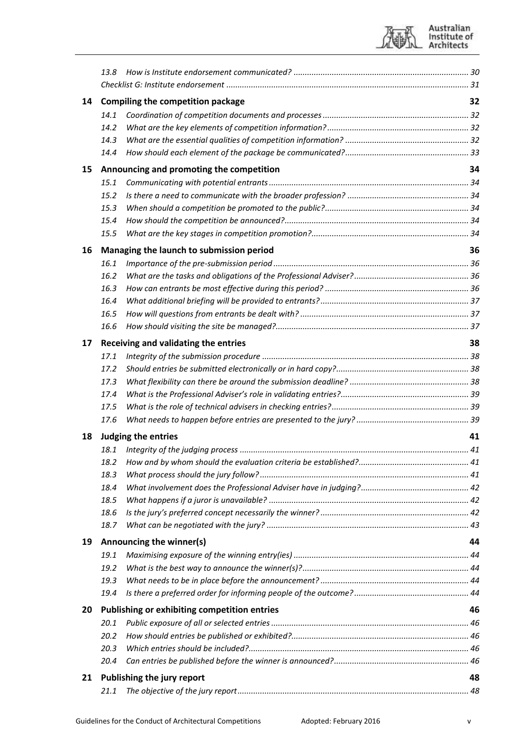

|    | 13.8                                         |    |
|----|----------------------------------------------|----|
|    |                                              |    |
| 14 | <b>Compiling the competition package</b>     | 32 |
|    | 14.1                                         |    |
|    | 14.2                                         |    |
|    | 14.3                                         |    |
|    | 14.4                                         |    |
| 15 | Announcing and promoting the competition     | 34 |
|    | 15.1                                         |    |
|    | 15.2                                         |    |
|    | 15.3                                         |    |
|    | 15.4                                         |    |
|    | 15.5                                         |    |
| 16 | Managing the launch to submission period     | 36 |
|    | 16.1                                         |    |
|    | 16.2                                         |    |
|    | 16.3                                         |    |
|    | 16.4                                         |    |
|    | 16.5                                         |    |
|    | 16.6                                         |    |
| 17 | Receiving and validating the entries         | 38 |
|    | 17.1                                         |    |
|    | 17.2                                         |    |
|    | 17.3                                         |    |
|    | 17.4                                         |    |
|    | 17.5<br>17.6                                 |    |
|    |                                              |    |
| 18 | <b>Judging the entries</b>                   | 41 |
|    | 18.1                                         |    |
|    | 18.3                                         |    |
|    | 18.4                                         |    |
|    | 18.5                                         |    |
|    | 18.6                                         |    |
|    | 18.7                                         |    |
| 19 | Announcing the winner(s)                     | 44 |
|    | 19.1                                         |    |
|    | 19.2                                         |    |
|    | 19.3                                         |    |
|    | 19.4                                         |    |
| 20 | Publishing or exhibiting competition entries | 46 |
|    | 20.1                                         |    |
|    | 20.2                                         |    |
|    | 20.3                                         |    |
|    | 20.4                                         |    |
| 21 | Publishing the jury report                   | 48 |
|    | 21.1                                         |    |
|    |                                              |    |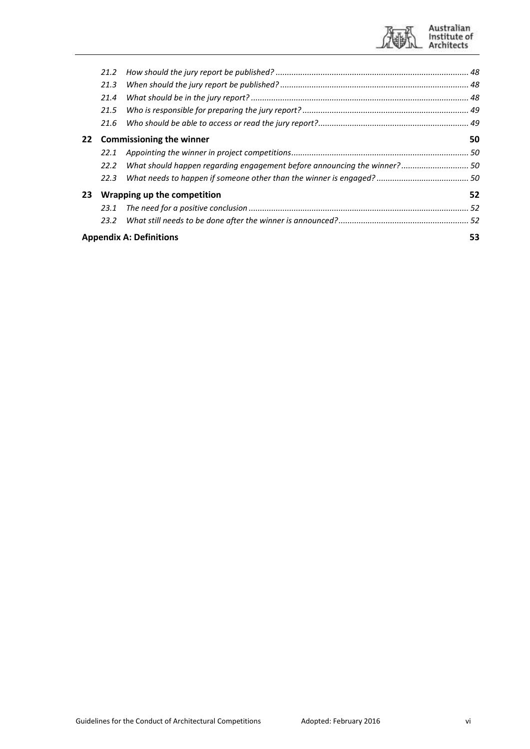

|      | 21.2                            |                                                                          |    |
|------|---------------------------------|--------------------------------------------------------------------------|----|
|      | 21.3                            |                                                                          |    |
|      | 21.4                            |                                                                          |    |
|      | 21.5                            |                                                                          |    |
|      | 21.6                            |                                                                          |    |
| 22 - | <b>Commissioning the winner</b> |                                                                          | 50 |
|      | 22.1                            |                                                                          |    |
|      | 22.2                            | What should happen regarding engagement before announcing the winner? 50 |    |
|      | 22.3                            |                                                                          |    |
| 23   | Wrapping up the competition     |                                                                          | 52 |
|      | 23.1                            |                                                                          |    |
|      | 23.2                            |                                                                          |    |
|      |                                 | <b>Appendix A: Definitions</b>                                           | 53 |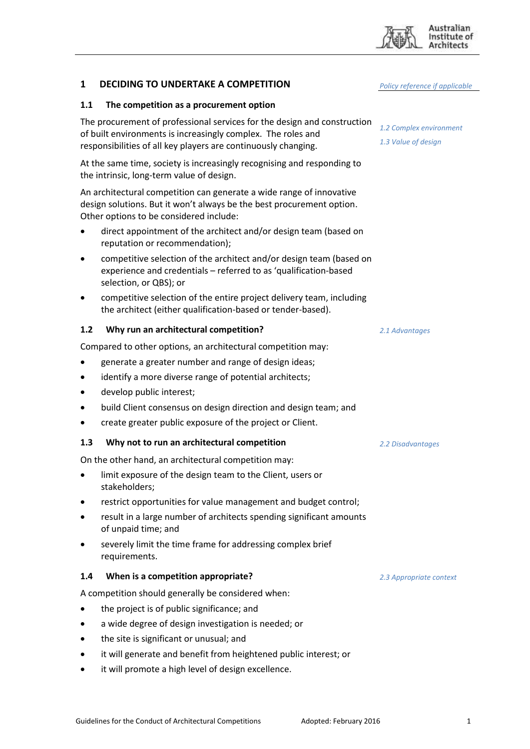

## <span id="page-6-0"></span>**1 DECIDING TO UNDERTAKE A COMPETITION** *Policy reference if applicable*

#### <span id="page-6-1"></span>**1.1 The competition as a procurement option**

The procurement of professional services for the design and construction of built environments is increasingly complex. The roles and responsibilities of all key players are continuously changing.

At the same time, society is increasingly recognising and responding to the intrinsic, long-term value of design.

An architectural competition can generate a wide range of innovative design solutions. But it won't always be the best procurement option. Other options to be considered include:

- direct appointment of the architect and/or design team (based on reputation or recommendation);
- competitive selection of the architect and/or design team (based on experience and credentials – referred to as 'qualification-based selection, or QBS); or
- competitive selection of the entire project delivery team, including the architect (either qualification-based or tender-based).

#### <span id="page-6-2"></span>**1.2 Why run an architectural competition?** *2.1 Advantages*

Compared to other options, an architectural competition may:

- generate a greater number and range of design ideas;
- identify a more diverse range of potential architects;
- develop public interest;
- build Client consensus on design direction and design team; and
- create greater public exposure of the project or Client.

## <span id="page-6-3"></span>**1.3 Why not to run an architectural competition** *2.2 Disadvantages*

On the other hand, an architectural competition may:

- limit exposure of the design team to the Client, users or stakeholders;
- restrict opportunities for value management and budget control;
- result in a large number of architects spending significant amounts of unpaid time; and
- severely limit the time frame for addressing complex brief requirements.

## <span id="page-6-4"></span>**1.4 When is a competition appropriate?** *2.3 Appropriate context*

A competition should generally be considered when:

- the project is of public significance; and
- a wide degree of design investigation is needed; or
- the site is significant or unusual; and
- it will generate and benefit from heightened public interest; or
- it will promote a high level of design excellence.

*1.2 Complex environment 1.3 Value of design*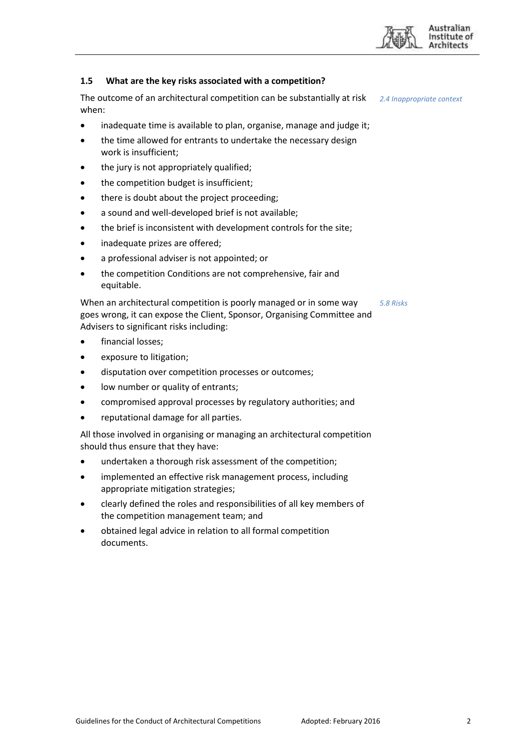

## <span id="page-7-0"></span>**1.5 What are the key risks associated with a competition?**

The outcome of an architectural competition can be substantially at risk when: *2.4 Inappropriate context*

- inadequate time is available to plan, organise, manage and judge it;
- the time allowed for entrants to undertake the necessary design work is insufficient;
- the jury is not appropriately qualified;
- the competition budget is insufficient;
- there is doubt about the project proceeding;
- a sound and well-developed brief is not available;
- the brief is inconsistent with development controls for the site;
- inadequate prizes are offered;
- a professional adviser is not appointed; or
- the competition Conditions are not comprehensive, fair and equitable.

When an architectural competition is poorly managed or in some way goes wrong, it can expose the Client, Sponsor, Organising Committee and Advisers to significant risks including: *5.8 Risks*

- **•** financial losses;
- exposure to litigation;
- disputation over competition processes or outcomes;
- low number or quality of entrants;
- compromised approval processes by regulatory authorities; and
- reputational damage for all parties.

All those involved in organising or managing an architectural competition should thus ensure that they have:

- undertaken a thorough risk assessment of the competition;
- implemented an effective risk management process, including appropriate mitigation strategies;
- clearly defined the roles and responsibilities of all key members of the competition management team; and
- obtained legal advice in relation to all formal competition documents.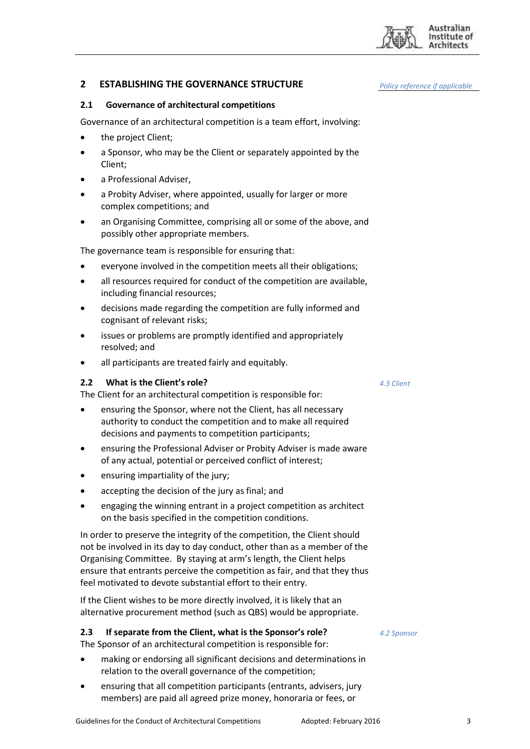

## <span id="page-8-0"></span>**2 ESTABLISHING THE GOVERNANCE STRUCTURE** *Policy reference if applicable*

#### <span id="page-8-1"></span>**2.1 Governance of architectural competitions**

Governance of an architectural competition is a team effort, involving:

- the project Client;
- a Sponsor, who may be the Client or separately appointed by the Client;
- a Professional Adviser,
- a Probity Adviser, where appointed, usually for larger or more complex competitions; and
- an Organising Committee, comprising all or some of the above, and possibly other appropriate members.

The governance team is responsible for ensuring that:

- everyone involved in the competition meets all their obligations;
- all resources required for conduct of the competition are available, including financial resources;
- decisions made regarding the competition are fully informed and cognisant of relevant risks;
- issues or problems are promptly identified and appropriately resolved; and
- all participants are treated fairly and equitably.

## <span id="page-8-2"></span>**2.2 What is the Client's role?** *4.3 Client*

The Client for an architectural competition is responsible for:

- ensuring the Sponsor, where not the Client, has all necessary authority to conduct the competition and to make all required decisions and payments to competition participants;
- ensuring the Professional Adviser or Probity Adviser is made aware of any actual, potential or perceived conflict of interest;
- ensuring impartiality of the jury;
- accepting the decision of the jury as final; and
- engaging the winning entrant in a project competition as architect on the basis specified in the competition conditions.

In order to preserve the integrity of the competition, the Client should not be involved in its day to day conduct, other than as a member of the Organising Committee. By staying at arm's length, the Client helps ensure that entrants perceive the competition as fair, and that they thus feel motivated to devote substantial effort to their entry.

If the Client wishes to be more directly involved, it is likely that an alternative procurement method (such as QBS) would be appropriate.

## <span id="page-8-3"></span>**2.3 If separate from the Client, what is the Sponsor's role?** *4.2 Sponsor*

The Sponsor of an architectural competition is responsible for:

- making or endorsing all significant decisions and determinations in relation to the overall governance of the competition;
- ensuring that all competition participants (entrants, advisers, jury members) are paid all agreed prize money, honoraria or fees, or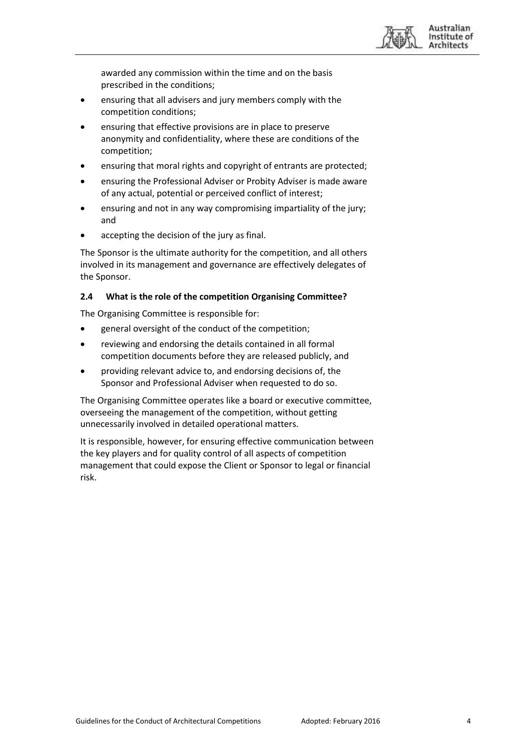awarded any commission within the time and on the basis prescribed in the conditions;

- ensuring that all advisers and jury members comply with the competition conditions;
- ensuring that effective provisions are in place to preserve anonymity and confidentiality, where these are conditions of the competition;
- ensuring that moral rights and copyright of entrants are protected;
- ensuring the Professional Adviser or Probity Adviser is made aware of any actual, potential or perceived conflict of interest;
- ensuring and not in any way compromising impartiality of the jury; and
- accepting the decision of the jury as final.

The Sponsor is the ultimate authority for the competition, and all others involved in its management and governance are effectively delegates of the Sponsor.

## <span id="page-9-0"></span>**2.4 What is the role of the competition Organising Committee?**

The Organising Committee is responsible for:

- general oversight of the conduct of the competition;
- reviewing and endorsing the details contained in all formal competition documents before they are released publicly, and
- providing relevant advice to, and endorsing decisions of, the Sponsor and Professional Adviser when requested to do so.

The Organising Committee operates like a board or executive committee, overseeing the management of the competition, without getting unnecessarily involved in detailed operational matters.

It is responsible, however, for ensuring effective communication between the key players and for quality control of all aspects of competition management that could expose the Client or Sponsor to legal or financial risk.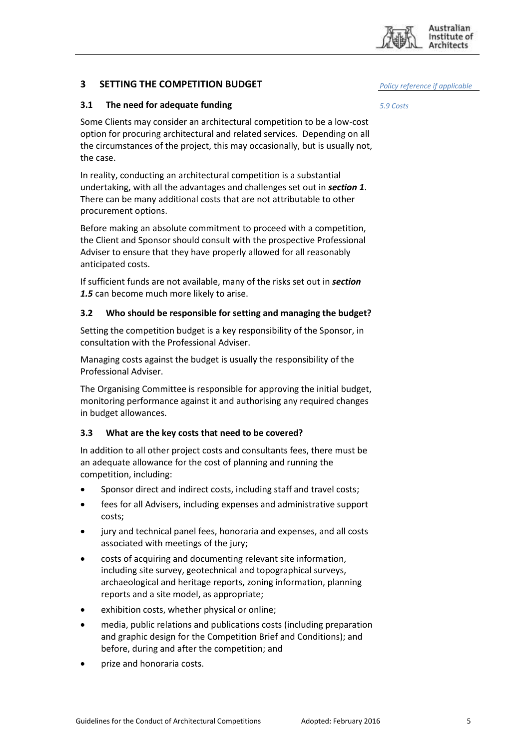

## <span id="page-10-0"></span>**3 SETTING THE COMPETITION BUDGET** *Policy reference if applicable*

## <span id="page-10-1"></span>**3.1 The need for adequate funding** *5.9 Costs*

Some Clients may consider an architectural competition to be a low-cost option for procuring architectural and related services. Depending on all the circumstances of the project, this may occasionally, but is usually not, the case.

In reality, conducting an architectural competition is a substantial undertaking, with all the advantages and challenges set out in *sectio[n 1](#page-6-0)*. There can be many additional costs that are not attributable to other procurement options.

Before making an absolute commitment to proceed with a competition, the Client and Sponsor should consult with the prospective Professional Adviser to ensure that they have properly allowed for all reasonably anticipated costs.

If sufficient funds are not available, many of the risks set out in *section*  [1.5](#page-7-0) can become much more likely to arise.

## <span id="page-10-2"></span>**3.2 Who should be responsible for setting and managing the budget?**

Setting the competition budget is a key responsibility of the Sponsor, in consultation with the Professional Adviser.

Managing costs against the budget is usually the responsibility of the Professional Adviser.

The Organising Committee is responsible for approving the initial budget, monitoring performance against it and authorising any required changes in budget allowances.

## <span id="page-10-3"></span>**3.3 What are the key costs that need to be covered?**

In addition to all other project costs and consultants fees, there must be an adequate allowance for the cost of planning and running the competition, including:

- Sponsor direct and indirect costs, including staff and travel costs;
- fees for all Advisers, including expenses and administrative support costs;
- jury and technical panel fees, honoraria and expenses, and all costs associated with meetings of the jury;
- costs of acquiring and documenting relevant site information, including site survey, geotechnical and topographical surveys, archaeological and heritage reports, zoning information, planning reports and a site model, as appropriate;
- exhibition costs, whether physical or online;
- media, public relations and publications costs (including preparation and graphic design for the Competition Brief and Conditions); and before, during and after the competition; and
- prize and honoraria costs.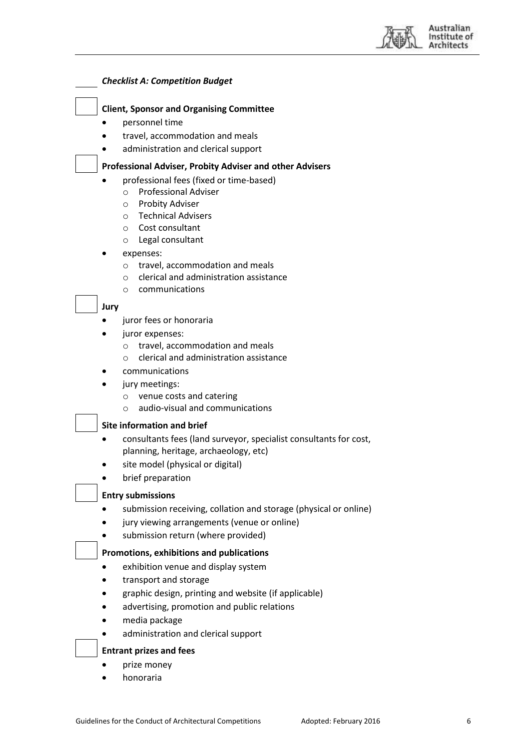

#### <span id="page-11-0"></span>*Checklist A: Competition Budget*

**Client, Sponsor and Organising Committee**

- personnel time
- travel, accommodation and meals
- administration and clerical support

#### **Professional Adviser, Probity Adviser and other Advisers**

- professional fees (fixed or time-based)
	- o Professional Adviser
	- o Probity Adviser
	- o Technical Advisers
	- o Cost consultant
	- o Legal consultant
- expenses:
	- o travel, accommodation and meals
	- o clerical and administration assistance
	- o communications

#### **Jury**

- juror fees or honoraria
- juror expenses:
	- o travel, accommodation and meals
	- o clerical and administration assistance
- communications
- jury meetings:
	- o venue costs and catering
	- o audio-visual and communications

#### **Site information and brief**

- consultants fees (land surveyor, specialist consultants for cost, planning, heritage, archaeology, etc)
- site model (physical or digital)
- brief preparation

#### **Entry submissions**

- submission receiving, collation and storage (physical or online)
- jury viewing arrangements (venue or online)
- submission return (where provided)

#### **Promotions, exhibitions and publications**

- exhibition venue and display system
- transport and storage
- graphic design, printing and website (if applicable)
- advertising, promotion and public relations
- media package
- administration and clerical support

#### **Entrant prizes and fees**

- prize money
- honoraria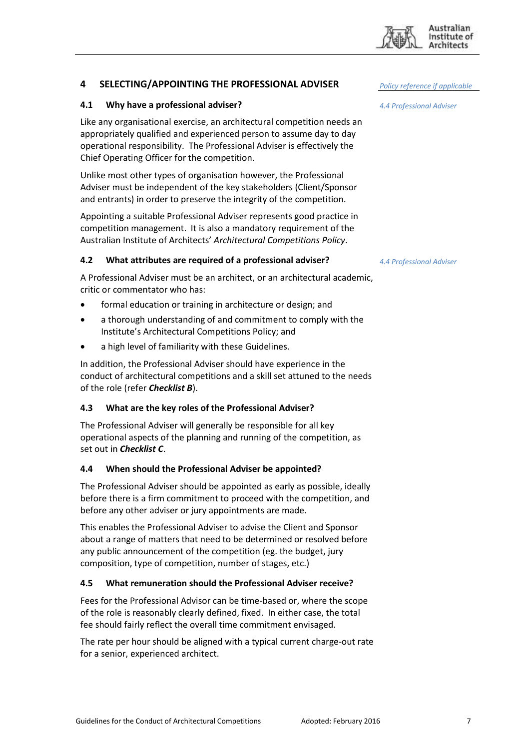

## <span id="page-12-0"></span>**4 SELECTING/APPOINTING THE PROFESSIONAL ADVISER** *Policy reference if applicable*

## <span id="page-12-1"></span>**4.1 Why have a professional adviser?** *4.4 Professional Adviser*

Like any organisational exercise, an architectural competition needs an appropriately qualified and experienced person to assume day to day operational responsibility. The Professional Adviser is effectively the Chief Operating Officer for the competition.

Unlike most other types of organisation however, the Professional Adviser must be independent of the key stakeholders (Client/Sponsor and entrants) in order to preserve the integrity of the competition.

Appointing a suitable Professional Adviser represents good practice in competition management. It is also a mandatory requirement of the Australian Institute of Architects' *Architectural Competitions Policy*.

## <span id="page-12-2"></span>**4.2 What attributes are required of a professional adviser?** *4.4 Professional Adviser*

A Professional Adviser must be an architect, or an architectural academic, critic or commentator who has:

- formal education or training in architecture or design; and
- a thorough understanding of and commitment to comply with the Institute's Architectural Competitions Policy; and
- a high level of familiarity with these Guidelines.

In addition, the Professional Adviser should have experience in the conduct of architectural competitions and a skill set attuned to the needs of the role (refer *Checklist B*).

## <span id="page-12-3"></span>**4.3 What are the key roles of the Professional Adviser?**

The Professional Adviser will generally be responsible for all key operational aspects of the planning and running of the competition, as set out in *Checklist C*.

#### <span id="page-12-4"></span>**4.4 When should the Professional Adviser be appointed?**

The Professional Adviser should be appointed as early as possible, ideally before there is a firm commitment to proceed with the competition, and before any other adviser or jury appointments are made.

This enables the Professional Adviser to advise the Client and Sponsor about a range of matters that need to be determined or resolved before any public announcement of the competition (eg. the budget, jury composition, type of competition, number of stages, etc.)

## <span id="page-12-5"></span>**4.5 What remuneration should the Professional Adviser receive?**

Fees for the Professional Advisor can be time-based or, where the scope of the role is reasonably clearly defined, fixed. In either case, the total fee should fairly reflect the overall time commitment envisaged.

The rate per hour should be aligned with a typical current charge-out rate for a senior, experienced architect.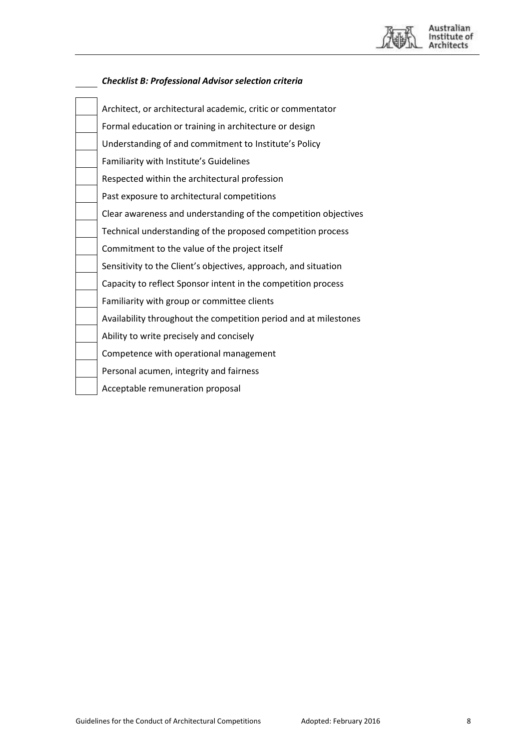

<span id="page-13-0"></span>

|  | <b>Checklist B: Professional Advisor selection criteria</b>      |
|--|------------------------------------------------------------------|
|  | Architect, or architectural academic, critic or commentator      |
|  | Formal education or training in architecture or design           |
|  | Understanding of and commitment to Institute's Policy            |
|  | Familiarity with Institute's Guidelines                          |
|  | Respected within the architectural profession                    |
|  | Past exposure to architectural competitions                      |
|  | Clear awareness and understanding of the competition objectives  |
|  | Technical understanding of the proposed competition process      |
|  | Commitment to the value of the project itself                    |
|  | Sensitivity to the Client's objectives, approach, and situation  |
|  | Capacity to reflect Sponsor intent in the competition process    |
|  | Familiarity with group or committee clients                      |
|  | Availability throughout the competition period and at milestones |
|  | Ability to write precisely and concisely                         |
|  | Competence with operational management                           |
|  | Personal acumen, integrity and fairness                          |
|  | Acceptable remuneration proposal                                 |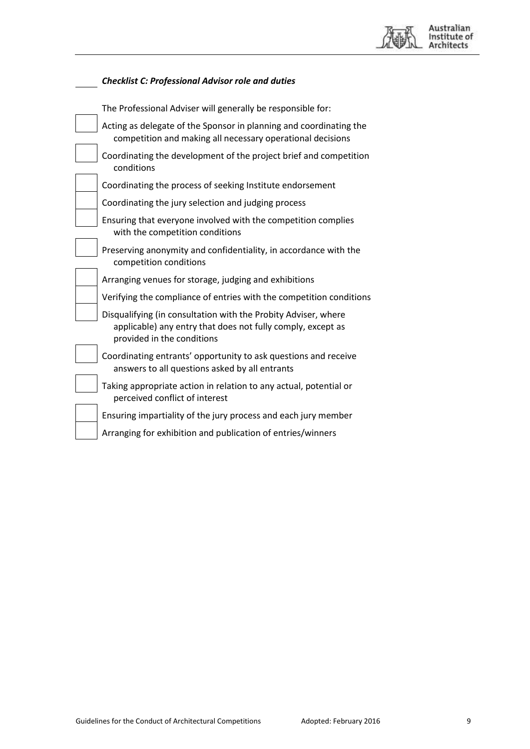

<span id="page-14-0"></span>

| <b>Checklist C: Professional Advisor role and duties</b>                                                                                                    |
|-------------------------------------------------------------------------------------------------------------------------------------------------------------|
| The Professional Adviser will generally be responsible for:                                                                                                 |
| Acting as delegate of the Sponsor in planning and coordinating the<br>competition and making all necessary operational decisions                            |
| Coordinating the development of the project brief and competition<br>conditions                                                                             |
| Coordinating the process of seeking Institute endorsement                                                                                                   |
| Coordinating the jury selection and judging process                                                                                                         |
| Ensuring that everyone involved with the competition complies<br>with the competition conditions                                                            |
| Preserving anonymity and confidentiality, in accordance with the<br>competition conditions                                                                  |
| Arranging venues for storage, judging and exhibitions                                                                                                       |
| Verifying the compliance of entries with the competition conditions                                                                                         |
| Disqualifying (in consultation with the Probity Adviser, where<br>applicable) any entry that does not fully comply, except as<br>provided in the conditions |
| Coordinating entrants' opportunity to ask questions and receive<br>answers to all questions asked by all entrants                                           |
| Taking appropriate action in relation to any actual, potential or<br>perceived conflict of interest                                                         |
| Ensuring impartiality of the jury process and each jury member                                                                                              |
| Arranging for exhibition and publication of entries/winners                                                                                                 |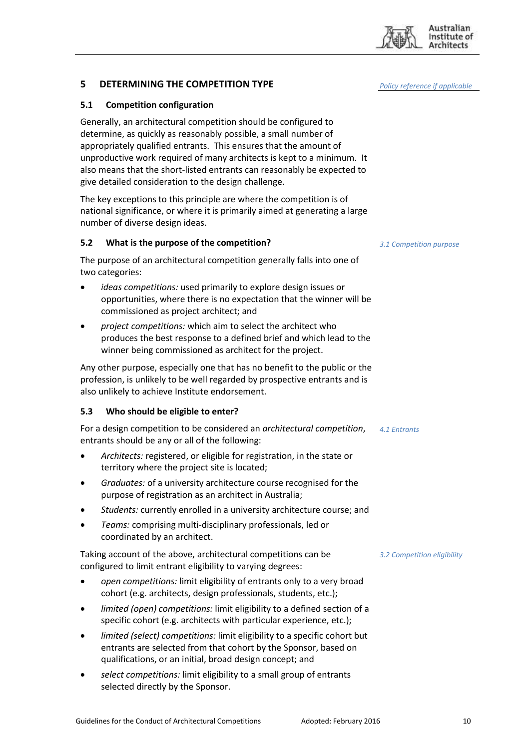

## <span id="page-15-0"></span>**5 DETERMINING THE COMPETITION TYPE** *Policy reference if applicable*

## <span id="page-15-1"></span>**5.1 Competition configuration**

Generally, an architectural competition should be configured to determine, as quickly as reasonably possible, a small number of appropriately qualified entrants. This ensures that the amount of unproductive work required of many architects is kept to a minimum. It also means that the short-listed entrants can reasonably be expected to give detailed consideration to the design challenge.

The key exceptions to this principle are where the competition is of national significance, or where it is primarily aimed at generating a large number of diverse design ideas.

## <span id="page-15-2"></span>**5.2 What is the purpose of the competition?** *3.1 Competition purpose*

The purpose of an architectural competition generally falls into one of two categories:

- *ideas competitions:* used primarily to explore design issues or opportunities, where there is no expectation that the winner will be commissioned as project architect; and
- *project competitions:* which aim to select the architect who produces the best response to a defined brief and which lead to the winner being commissioned as architect for the project.

Any other purpose, especially one that has no benefit to the public or the profession, is unlikely to be well regarded by prospective entrants and is also unlikely to achieve Institute endorsement.

## <span id="page-15-3"></span>**5.3 Who should be eligible to enter?**

For a design competition to be considered an *architectural competition*, entrants should be any or all of the following:

- *Architects:* registered, or eligible for registration, in the state or territory where the project site is located;
- *Graduates:* of a university architecture course recognised for the purpose of registration as an architect in Australia;
- *Students:* currently enrolled in a university architecture course; and
- *Teams:* comprising multi-disciplinary professionals, led or coordinated by an architect.

Taking account of the above, architectural competitions can be configured to limit entrant eligibility to varying degrees:

- *open competitions:* limit eligibility of entrants only to a very broad cohort (e.g. architects, design professionals, students, etc.);
- *limited (open) competitions:* limit eligibility to a defined section of a specific cohort (e.g. architects with particular experience, etc.);
- *limited (select) competitions:* limit eligibility to a specific cohort but entrants are selected from that cohort by the Sponsor, based on qualifications, or an initial, broad design concept; and
- *select competitions:* limit eligibility to a small group of entrants selected directly by the Sponsor.

*4.1 Entrants*

*3.2 Competition eligibility*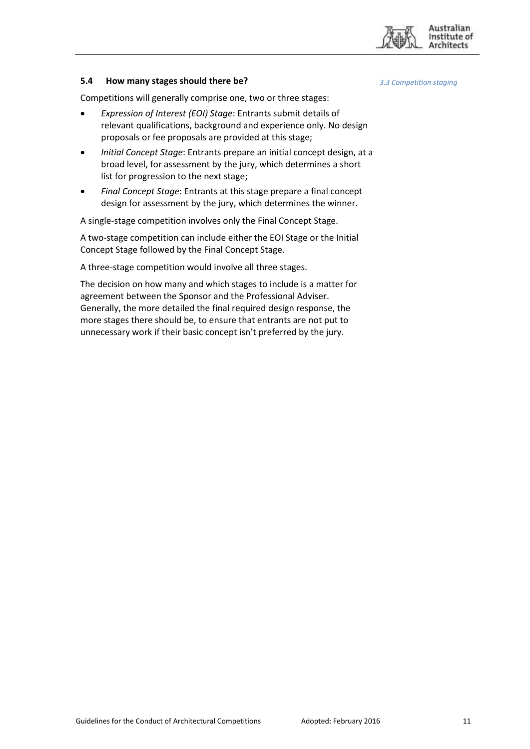

## <span id="page-16-0"></span>**5.4 How many stages should there be?** *3.3 Competition staging*

Competitions will generally comprise one, two or three stages:

- *Expression of Interest (EOI) Stage*: Entrants submit details of relevant qualifications, background and experience only. No design proposals or fee proposals are provided at this stage;
- *Initial Concept Stage*: Entrants prepare an initial concept design, at a broad level, for assessment by the jury, which determines a short list for progression to the next stage;
- *Final Concept Stage*: Entrants at this stage prepare a final concept design for assessment by the jury, which determines the winner.

A single-stage competition involves only the Final Concept Stage.

A two-stage competition can include either the EOI Stage or the Initial Concept Stage followed by the Final Concept Stage.

A three-stage competition would involve all three stages.

The decision on how many and which stages to include is a matter for agreement between the Sponsor and the Professional Adviser. Generally, the more detailed the final required design response, the more stages there should be, to ensure that entrants are not put to unnecessary work if their basic concept isn't preferred by the jury.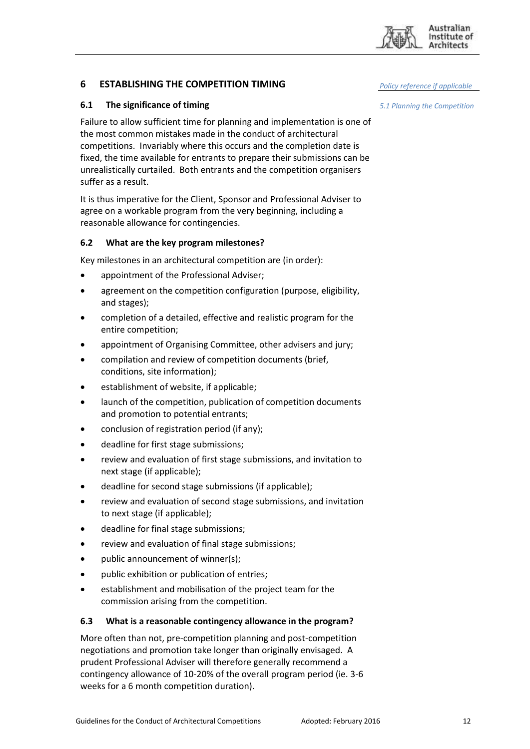

## <span id="page-17-0"></span>**6 ESTABLISHING THE COMPETITION TIMING** *Policy reference if applicable*

## <span id="page-17-1"></span>**6.1 The significance of timing** *5.1 Planning the Competition*

Failure to allow sufficient time for planning and implementation is one of the most common mistakes made in the conduct of architectural competitions. Invariably where this occurs and the completion date is fixed, the time available for entrants to prepare their submissions can be unrealistically curtailed. Both entrants and the competition organisers suffer as a result.

It is thus imperative for the Client, Sponsor and Professional Adviser to agree on a workable program from the very beginning, including a reasonable allowance for contingencies.

## <span id="page-17-2"></span>**6.2 What are the key program milestones?**

Key milestones in an architectural competition are (in order):

- appointment of the Professional Adviser;
- agreement on the competition configuration (purpose, eligibility, and stages);
- completion of a detailed, effective and realistic program for the entire competition;
- appointment of Organising Committee, other advisers and jury;
- compilation and review of competition documents (brief, conditions, site information);
- establishment of website, if applicable;
- launch of the competition, publication of competition documents and promotion to potential entrants;
- conclusion of registration period (if any);
- deadline for first stage submissions;
- review and evaluation of first stage submissions, and invitation to next stage (if applicable);
- deadline for second stage submissions (if applicable);
- review and evaluation of second stage submissions, and invitation to next stage (if applicable);
- deadline for final stage submissions;
- review and evaluation of final stage submissions;
- public announcement of winner(s);
- public exhibition or publication of entries;
- establishment and mobilisation of the project team for the commission arising from the competition.

## <span id="page-17-3"></span>**6.3 What is a reasonable contingency allowance in the program?**

More often than not, pre-competition planning and post-competition negotiations and promotion take longer than originally envisaged. A prudent Professional Adviser will therefore generally recommend a contingency allowance of 10-20% of the overall program period (ie. 3-6 weeks for a 6 month competition duration).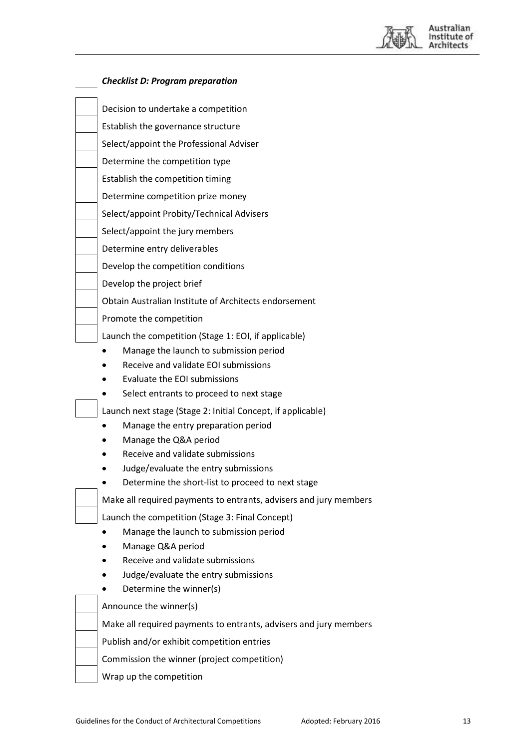

## <span id="page-18-0"></span>*Checklist D: Program preparation*

| Decision to undertake a competition                                                                |
|----------------------------------------------------------------------------------------------------|
| Establish the governance structure                                                                 |
| Select/appoint the Professional Adviser                                                            |
| Determine the competition type                                                                     |
| Establish the competition timing                                                                   |
| Determine competition prize money                                                                  |
| Select/appoint Probity/Technical Advisers                                                          |
| Select/appoint the jury members                                                                    |
| Determine entry deliverables                                                                       |
| Develop the competition conditions                                                                 |
| Develop the project brief                                                                          |
| Obtain Australian Institute of Architects endorsement                                              |
| Promote the competition                                                                            |
| Launch the competition (Stage 1: EOI, if applicable)                                               |
| Manage the launch to submission period                                                             |
| Receive and validate EOI submissions                                                               |
| Evaluate the EOI submissions                                                                       |
| Select entrants to proceed to next stage                                                           |
| Launch next stage (Stage 2: Initial Concept, if applicable)<br>Manage the entry preparation period |
| Manage the Q&A period                                                                              |
| Receive and validate submissions                                                                   |
| Judge/evaluate the entry submissions                                                               |
| Determine the short-list to proceed to next stage                                                  |
| Make all required payments to entrants, advisers and jury members                                  |
| Launch the competition (Stage 3: Final Concept)                                                    |
| Manage the launch to submission period                                                             |
| Manage Q&A period                                                                                  |
| Receive and validate submissions<br>Judge/evaluate the entry submissions                           |
| Determine the winner(s)                                                                            |
| Announce the winner(s)                                                                             |
| Make all required payments to entrants, advisers and jury members                                  |
| Publish and/or exhibit competition entries                                                         |
| Commission the winner (project competition)                                                        |
| Wrap up the competition                                                                            |
|                                                                                                    |
|                                                                                                    |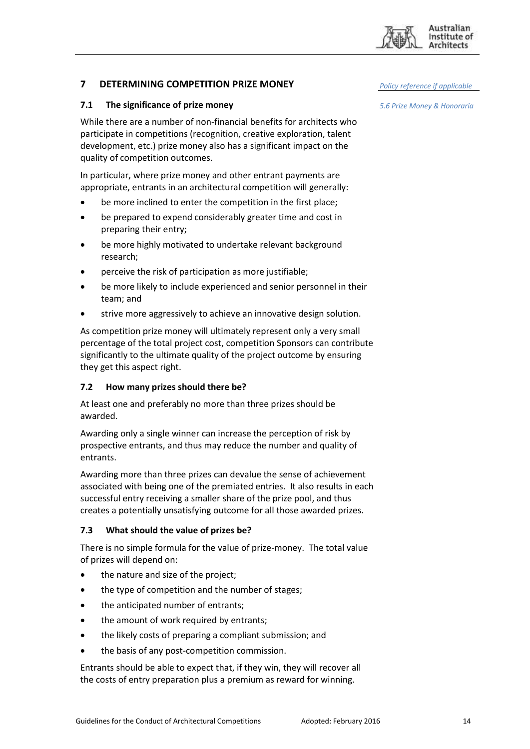

## <span id="page-19-0"></span>**7 DETERMINING COMPETITION PRIZE MONEY** *Policy reference if applicable*

## <span id="page-19-1"></span>**7.1 The significance of prize money** *5.6 Prize Money & Honoraria*

While there are a number of non-financial benefits for architects who participate in competitions (recognition, creative exploration, talent development, etc.) prize money also has a significant impact on the quality of competition outcomes.

In particular, where prize money and other entrant payments are appropriate, entrants in an architectural competition will generally:

- be more inclined to enter the competition in the first place;
- be prepared to expend considerably greater time and cost in preparing their entry;
- be more highly motivated to undertake relevant background research;
- perceive the risk of participation as more justifiable;
- be more likely to include experienced and senior personnel in their team; and
- strive more aggressively to achieve an innovative design solution.

As competition prize money will ultimately represent only a very small percentage of the total project cost, competition Sponsors can contribute significantly to the ultimate quality of the project outcome by ensuring they get this aspect right.

## <span id="page-19-2"></span>**7.2 How many prizes should there be?**

At least one and preferably no more than three prizes should be awarded.

Awarding only a single winner can increase the perception of risk by prospective entrants, and thus may reduce the number and quality of entrants.

Awarding more than three prizes can devalue the sense of achievement associated with being one of the premiated entries. It also results in each successful entry receiving a smaller share of the prize pool, and thus creates a potentially unsatisfying outcome for all those awarded prizes.

## <span id="page-19-3"></span>**7.3 What should the value of prizes be?**

There is no simple formula for the value of prize-money. The total value of prizes will depend on:

- the nature and size of the project;
- the type of competition and the number of stages:
- the anticipated number of entrants;
- the amount of work required by entrants;
- the likely costs of preparing a compliant submission; and
- the basis of any post-competition commission.

Entrants should be able to expect that, if they win, they will recover all the costs of entry preparation plus a premium as reward for winning.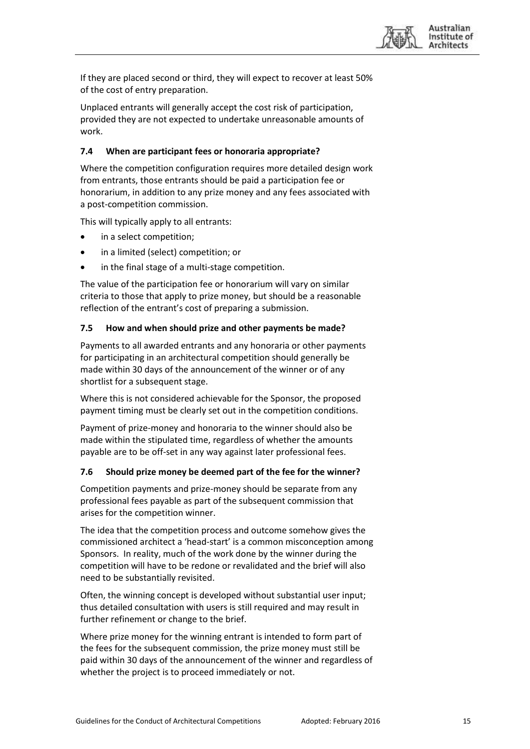

If they are placed second or third, they will expect to recover at least 50% of the cost of entry preparation.

Unplaced entrants will generally accept the cost risk of participation, provided they are not expected to undertake unreasonable amounts of work.

## <span id="page-20-0"></span>**7.4 When are participant fees or honoraria appropriate?**

Where the competition configuration requires more detailed design work from entrants, those entrants should be paid a participation fee or honorarium, in addition to any prize money and any fees associated with a post-competition commission.

This will typically apply to all entrants:

- in a select competition;
- in a limited (select) competition; or
- in the final stage of a multi-stage competition.

The value of the participation fee or honorarium will vary on similar criteria to those that apply to prize money, but should be a reasonable reflection of the entrant's cost of preparing a submission.

## <span id="page-20-1"></span>**7.5 How and when should prize and other payments be made?**

Payments to all awarded entrants and any honoraria or other payments for participating in an architectural competition should generally be made within 30 days of the announcement of the winner or of any shortlist for a subsequent stage.

Where this is not considered achievable for the Sponsor, the proposed payment timing must be clearly set out in the competition conditions.

Payment of prize-money and honoraria to the winner should also be made within the stipulated time, regardless of whether the amounts payable are to be off-set in any way against later professional fees.

## <span id="page-20-2"></span>**7.6 Should prize money be deemed part of the fee for the winner?**

Competition payments and prize-money should be separate from any professional fees payable as part of the subsequent commission that arises for the competition winner.

The idea that the competition process and outcome somehow gives the commissioned architect a 'head-start' is a common misconception among Sponsors. In reality, much of the work done by the winner during the competition will have to be redone or revalidated and the brief will also need to be substantially revisited.

Often, the winning concept is developed without substantial user input; thus detailed consultation with users is still required and may result in further refinement or change to the brief.

Where prize money for the winning entrant is intended to form part of the fees for the subsequent commission, the prize money must still be paid within 30 days of the announcement of the winner and regardless of whether the project is to proceed immediately or not.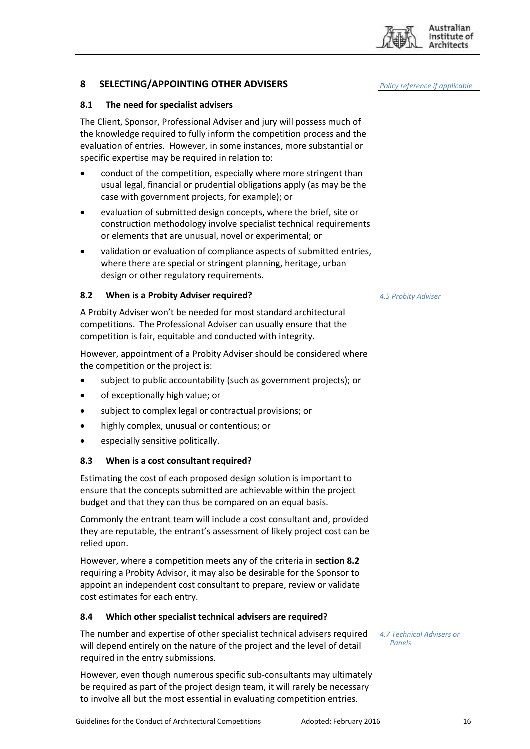

## <span id="page-21-0"></span>**8 SELECTING/APPOINTING OTHER ADVISERS** *Policy reference if applicable*

#### <span id="page-21-1"></span>**8.1 The need for specialist advisers**

The Client, Sponsor, Professional Adviser and jury will possess much of the knowledge required to fully inform the competition process and the evaluation of entries. However, in some instances, more substantial or specific expertise may be required in relation to:

- conduct of the competition, especially where more stringent than usual legal, financial or prudential obligations apply (as may be the case with government projects, for example); or
- evaluation of submitted design concepts, where the brief, site or construction methodology involve specialist technical requirements or elements that are unusual, novel or experimental; or
- validation or evaluation of compliance aspects of submitted entries, where there are special or stringent planning, heritage, urban design or other regulatory requirements.

## <span id="page-21-2"></span>**8.2 When is a Probity Adviser required?** *4.5 Probity Adviser*

A Probity Adviser won't be needed for most standard architectural competitions. The Professional Adviser can usually ensure that the competition is fair, equitable and conducted with integrity.

However, appointment of a Probity Adviser should be considered where the competition or the project is:

- subject to public accountability (such as government projects); or
- of exceptionally high value; or
- subject to complex legal or contractual provisions; or
- highly complex, unusual or contentious; or
- especially sensitive politically.

#### <span id="page-21-3"></span>**8.3 When is a cost consultant required?**

Estimating the cost of each proposed design solution is important to ensure that the concepts submitted are achievable within the project budget and that they can thus be compared on an equal basis.

Commonly the entrant team will include a cost consultant and, provided they are reputable, the entrant's assessment of likely project cost can be relied upon.

However, where a competition meets any of the criteria in **sectio[n 8.2](#page-21-2)** requiring a Probity Advisor, it may also be desirable for the Sponsor to appoint an independent cost consultant to prepare, review or validate cost estimates for each entry.

#### <span id="page-21-4"></span>**8.4 Which other specialist technical advisers are required?**

The number and expertise of other specialist technical advisers required will depend entirely on the nature of the project and the level of detail required in the entry submissions.

However, even though numerous specific sub-consultants may ultimately be required as part of the project design team, it will rarely be necessary to involve all but the most essential in evaluating competition entries.

*4.7 Technical Advisers or Panels*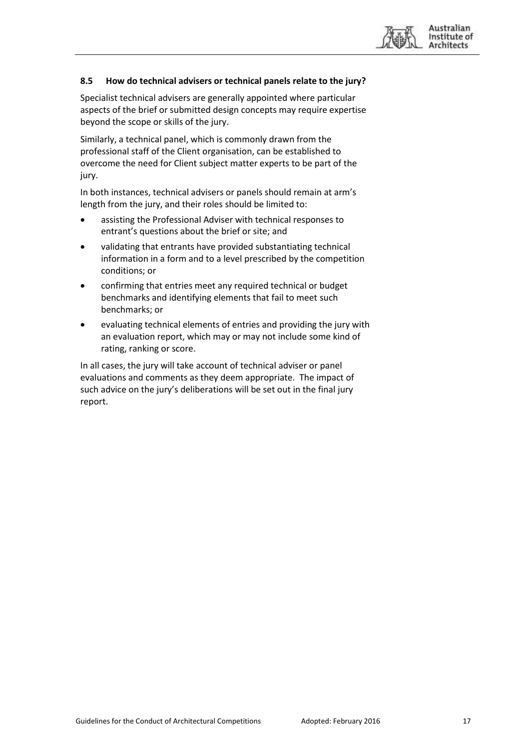

## <span id="page-22-0"></span>**8.5 How do technical advisers or technical panels relate to the jury?**

Specialist technical advisers are generally appointed where particular aspects of the brief or submitted design concepts may require expertise beyond the scope or skills of the jury.

Similarly, a technical panel, which is commonly drawn from the professional staff of the Client organisation, can be established to overcome the need for Client subject matter experts to be part of the jury.

In both instances, technical advisers or panels should remain at arm's length from the jury, and their roles should be limited to:

- assisting the Professional Adviser with technical responses to entrant's questions about the brief or site; and
- validating that entrants have provided substantiating technical information in a form and to a level prescribed by the competition conditions; or
- confirming that entries meet any required technical or budget benchmarks and identifying elements that fail to meet such benchmarks; or
- evaluating technical elements of entries and providing the jury with an evaluation report, which may or may not include some kind of rating, ranking or score.

In all cases, the jury will take account of technical adviser or panel evaluations and comments as they deem appropriate. The impact of such advice on the jury's deliberations will be set out in the final jury report.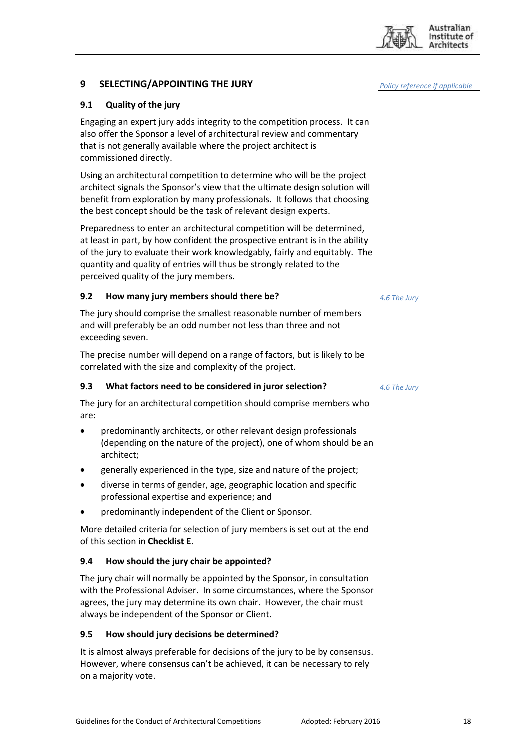

## <span id="page-23-0"></span>**9 SELECTING/APPOINTING THE JURY** *Policy reference if applicable*

## <span id="page-23-1"></span>**9.1 Quality of the jury**

Engaging an expert jury adds integrity to the competition process. It can also offer the Sponsor a level of architectural review and commentary that is not generally available where the project architect is commissioned directly.

Using an architectural competition to determine who will be the project architect signals the Sponsor's view that the ultimate design solution will benefit from exploration by many professionals. It follows that choosing the best concept should be the task of relevant design experts.

Preparedness to enter an architectural competition will be determined, at least in part, by how confident the prospective entrant is in the ability of the jury to evaluate their work knowledgably, fairly and equitably. The quantity and quality of entries will thus be strongly related to the perceived quality of the jury members.

## <span id="page-23-2"></span>**9.2 How many jury members should there be?** *4.6 The Jury*

The jury should comprise the smallest reasonable number of members and will preferably be an odd number not less than three and not exceeding seven.

The precise number will depend on a range of factors, but is likely to be correlated with the size and complexity of the project.

## <span id="page-23-3"></span>**9.3 What factors need to be considered in juror selection?** *4.6 The Jury*

The jury for an architectural competition should comprise members who are:

- predominantly architects, or other relevant design professionals (depending on the nature of the project), one of whom should be an architect;
- generally experienced in the type, size and nature of the project;
- diverse in terms of gender, age, geographic location and specific professional expertise and experience; and
- predominantly independent of the Client or Sponsor.

More detailed criteria for selection of jury members is set out at the end of this section in **Checklist E**.

## <span id="page-23-4"></span>**9.4 How should the jury chair be appointed?**

The jury chair will normally be appointed by the Sponsor, in consultation with the Professional Adviser. In some circumstances, where the Sponsor agrees, the jury may determine its own chair. However, the chair must always be independent of the Sponsor or Client.

## <span id="page-23-5"></span>**9.5 How should jury decisions be determined?**

It is almost always preferable for decisions of the jury to be by consensus. However, where consensus can't be achieved, it can be necessary to rely on a majority vote.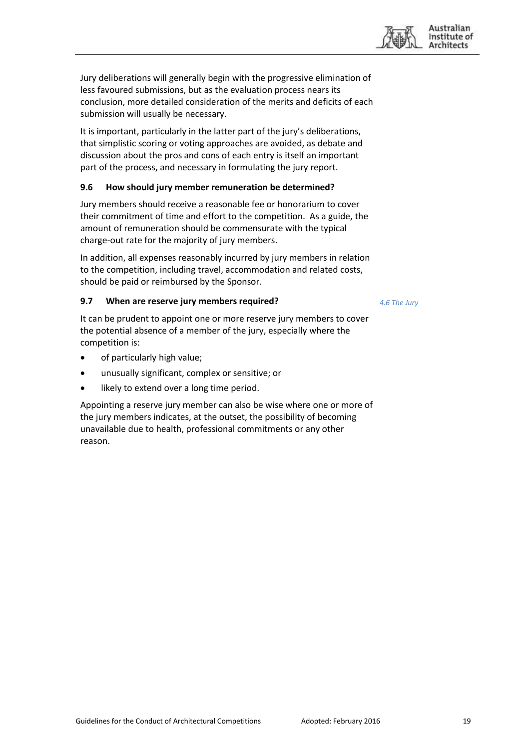



less favoured submissions, but as the evaluation process nears its conclusion, more detailed consideration of the merits and deficits of each submission will usually be necessary.

It is important, particularly in the latter part of the jury's deliberations, that simplistic scoring or voting approaches are avoided, as debate and discussion about the pros and cons of each entry is itself an important part of the process, and necessary in formulating the jury report.

## <span id="page-24-0"></span>**9.6 How should jury member remuneration be determined?**

Jury members should receive a reasonable fee or honorarium to cover their commitment of time and effort to the competition. As a guide, the amount of remuneration should be commensurate with the typical charge-out rate for the majority of jury members.

In addition, all expenses reasonably incurred by jury members in relation to the competition, including travel, accommodation and related costs, should be paid or reimbursed by the Sponsor.

## <span id="page-24-1"></span>**9.7 When are reserve jury members required?** *4.6 The Jury*

It can be prudent to appoint one or more reserve jury members to cover the potential absence of a member of the jury, especially where the competition is:

- of particularly high value;
- unusually significant, complex or sensitive; or
- likely to extend over a long time period.

Appointing a reserve jury member can also be wise where one or more of the jury members indicates, at the outset, the possibility of becoming unavailable due to health, professional commitments or any other reason.



Australian Institute of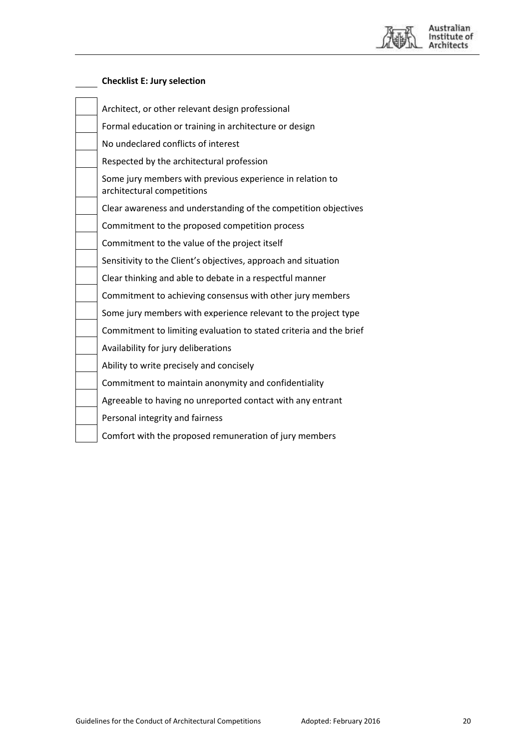

## <span id="page-25-0"></span>**Checklist E: Jury selection**

| Architect, or other relevant design professional                                        |
|-----------------------------------------------------------------------------------------|
| Formal education or training in architecture or design                                  |
| No undeclared conflicts of interest                                                     |
| Respected by the architectural profession                                               |
| Some jury members with previous experience in relation to<br>architectural competitions |
| Clear awareness and understanding of the competition objectives                         |
| Commitment to the proposed competition process                                          |
| Commitment to the value of the project itself                                           |
| Sensitivity to the Client's objectives, approach and situation                          |
| Clear thinking and able to debate in a respectful manner                                |
| Commitment to achieving consensus with other jury members                               |
| Some jury members with experience relevant to the project type                          |
| Commitment to limiting evaluation to stated criteria and the brief                      |
| Availability for jury deliberations                                                     |
| Ability to write precisely and concisely                                                |
| Commitment to maintain anonymity and confidentiality                                    |
| Agreeable to having no unreported contact with any entrant                              |
| Personal integrity and fairness                                                         |
| Comfort with the proposed remuneration of jury members                                  |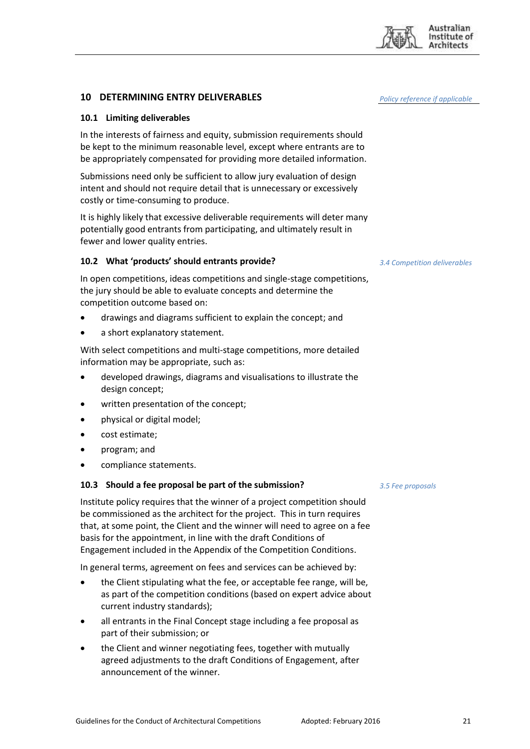

## <span id="page-26-0"></span>**10 DETERMINING ENTRY DELIVERABLES** *Policy reference if applicable*

#### <span id="page-26-1"></span>**10.1 Limiting deliverables**

In the interests of fairness and equity, submission requirements should be kept to the minimum reasonable level, except where entrants are to be appropriately compensated for providing more detailed information.

Submissions need only be sufficient to allow jury evaluation of design intent and should not require detail that is unnecessary or excessively costly or time-consuming to produce.

It is highly likely that excessive deliverable requirements will deter many potentially good entrants from participating, and ultimately result in fewer and lower quality entries.

#### <span id="page-26-2"></span>**10.2 What 'products' should entrants provide?** *3.4 Competition deliverables*

In open competitions, ideas competitions and single-stage competitions, the jury should be able to evaluate concepts and determine the competition outcome based on:

- drawings and diagrams sufficient to explain the concept; and
- a short explanatory statement.

With select competitions and multi-stage competitions, more detailed information may be appropriate, such as:

- developed drawings, diagrams and visualisations to illustrate the design concept;
- written presentation of the concept;
- physical or digital model;
- cost estimate;
- program; and
- compliance statements.

#### <span id="page-26-3"></span>**10.3 Should a fee proposal be part of the submission?** *3.5 Fee proposals*

Institute policy requires that the winner of a project competition should be commissioned as the architect for the project. This in turn requires that, at some point, the Client and the winner will need to agree on a fee basis for the appointment, in line with the draft Conditions of Engagement included in the Appendix of the Competition Conditions.

In general terms, agreement on fees and services can be achieved by:

- the Client stipulating what the fee, or acceptable fee range, will be, as part of the competition conditions (based on expert advice about current industry standards);
- all entrants in the Final Concept stage including a fee proposal as part of their submission; or
- the Client and winner negotiating fees, together with mutually agreed adjustments to the draft Conditions of Engagement, after announcement of the winner.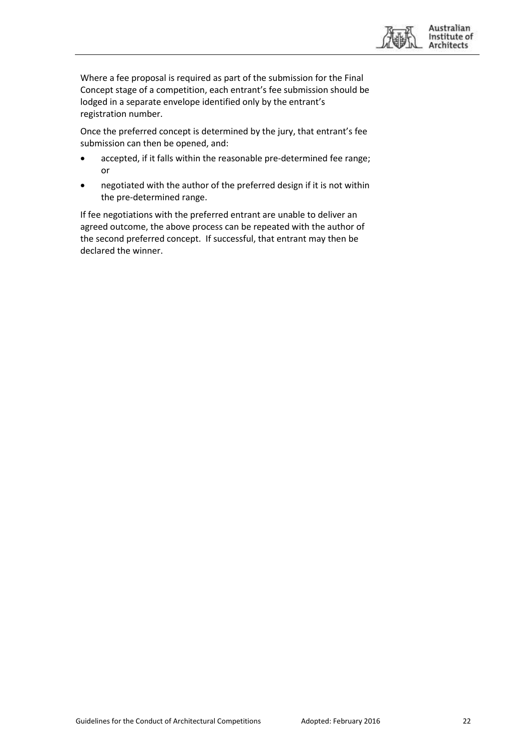

Where a fee proposal is required as part of the submission for the Final Concept stage of a competition, each entrant's fee submission should be lodged in a separate envelope identified only by the entrant's registration number.

Once the preferred concept is determined by the jury, that entrant's fee submission can then be opened, and:

- accepted, if it falls within the reasonable pre-determined fee range; or
- negotiated with the author of the preferred design if it is not within the pre-determined range.

If fee negotiations with the preferred entrant are unable to deliver an agreed outcome, the above process can be repeated with the author of the second preferred concept. If successful, that entrant may then be declared the winner.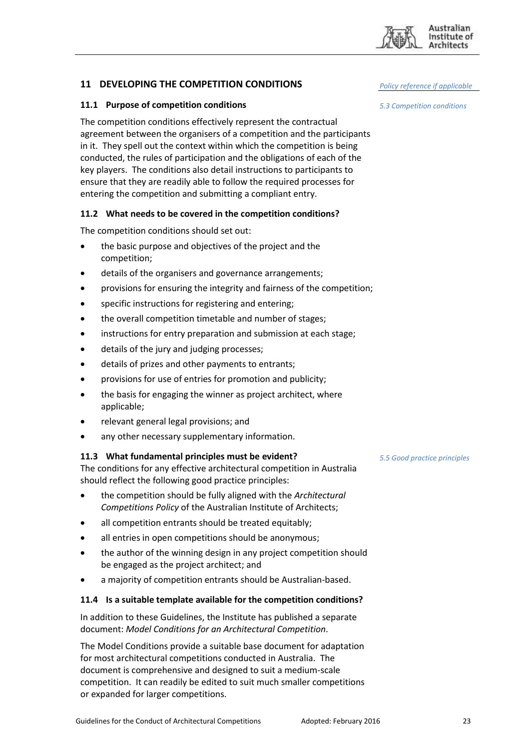

## <span id="page-28-0"></span>**11 DEVELOPING THE COMPETITION CONDITIONS** *Policy reference if applicable*

#### <span id="page-28-1"></span>**11.1 Purpose of competition conditions** *5.3 Competition conditions*

The competition conditions effectively represent the contractual agreement between the organisers of a competition and the participants in it. They spell out the context within which the competition is being conducted, the rules of participation and the obligations of each of the key players. The conditions also detail instructions to participants to ensure that they are readily able to follow the required processes for entering the competition and submitting a compliant entry.

## <span id="page-28-2"></span>**11.2 What needs to be covered in the competition conditions?**

The competition conditions should set out:

- the basic purpose and objectives of the project and the competition;
- details of the organisers and governance arrangements;
- provisions for ensuring the integrity and fairness of the competition;
- specific instructions for registering and entering;
- the overall competition timetable and number of stages:
- instructions for entry preparation and submission at each stage;
- details of the jury and judging processes;
- details of prizes and other payments to entrants;
- provisions for use of entries for promotion and publicity;
- the basis for engaging the winner as project architect, where applicable;
- relevant general legal provisions; and
- any other necessary supplementary information.

#### <span id="page-28-3"></span>**11.3 What fundamental principles must be evident?** *5.5 Good practice principles*

The conditions for any effective architectural competition in Australia should reflect the following good practice principles:

- the competition should be fully aligned with the *Architectural Competitions Policy* of the Australian Institute of Architects;
- all competition entrants should be treated equitably:
- all entries in open competitions should be anonymous;
- the author of the winning design in any project competition should be engaged as the project architect; and
- a majority of competition entrants should be Australian-based.

#### <span id="page-28-4"></span>**11.4 Is a suitable template available for the competition conditions?**

In addition to these Guidelines, the Institute has published a separate document: *Model Conditions for an Architectural Competition*.

The Model Conditions provide a suitable base document for adaptation for most architectural competitions conducted in Australia. The document is comprehensive and designed to suit a medium-scale competition. It can readily be edited to suit much smaller competitions or expanded for larger competitions.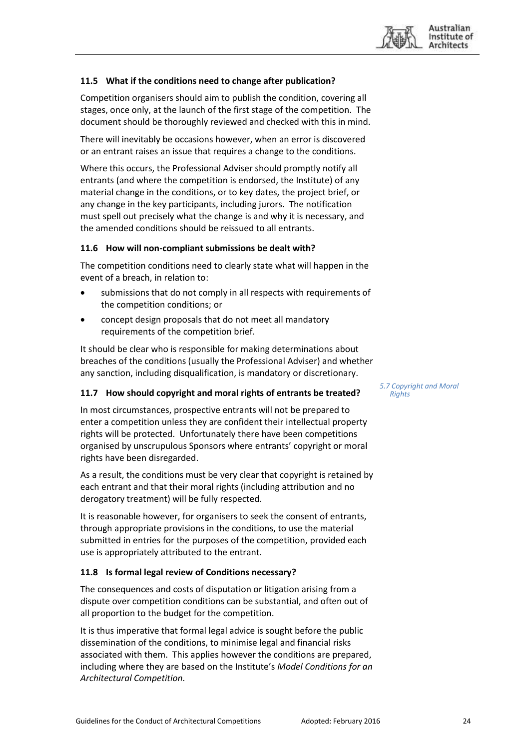

## <span id="page-29-0"></span>**11.5 What if the conditions need to change after publication?**

Competition organisers should aim to publish the condition, covering all stages, once only, at the launch of the first stage of the competition. The document should be thoroughly reviewed and checked with this in mind.

There will inevitably be occasions however, when an error is discovered or an entrant raises an issue that requires a change to the conditions.

Where this occurs, the Professional Adviser should promptly notify all entrants (and where the competition is endorsed, the Institute) of any material change in the conditions, or to key dates, the project brief, or any change in the key participants, including jurors. The notification must spell out precisely what the change is and why it is necessary, and the amended conditions should be reissued to all entrants.

## <span id="page-29-1"></span>**11.6 How will non-compliant submissions be dealt with?**

The competition conditions need to clearly state what will happen in the event of a breach, in relation to:

- submissions that do not comply in all respects with requirements of the competition conditions; or
- concept design proposals that do not meet all mandatory requirements of the competition brief.

It should be clear who is responsible for making determinations about breaches of the conditions (usually the Professional Adviser) and whether any sanction, including disqualification, is mandatory or discretionary.

## <span id="page-29-2"></span>**11.7 How should copyright and moral rights of entrants be treated?**

In most circumstances, prospective entrants will not be prepared to enter a competition unless they are confident their intellectual property rights will be protected. Unfortunately there have been competitions organised by unscrupulous Sponsors where entrants' copyright or moral rights have been disregarded.

As a result, the conditions must be very clear that copyright is retained by each entrant and that their moral rights (including attribution and no derogatory treatment) will be fully respected.

It is reasonable however, for organisers to seek the consent of entrants, through appropriate provisions in the conditions, to use the material submitted in entries for the purposes of the competition, provided each use is appropriately attributed to the entrant.

## <span id="page-29-3"></span>**11.8 Is formal legal review of Conditions necessary?**

The consequences and costs of disputation or litigation arising from a dispute over competition conditions can be substantial, and often out of all proportion to the budget for the competition.

It is thus imperative that formal legal advice is sought before the public dissemination of the conditions, to minimise legal and financial risks associated with them. This applies however the conditions are prepared, including where they are based on the Institute's *Model Conditions for an Architectural Competition*.

*5.7 Copyright and Moral Rights*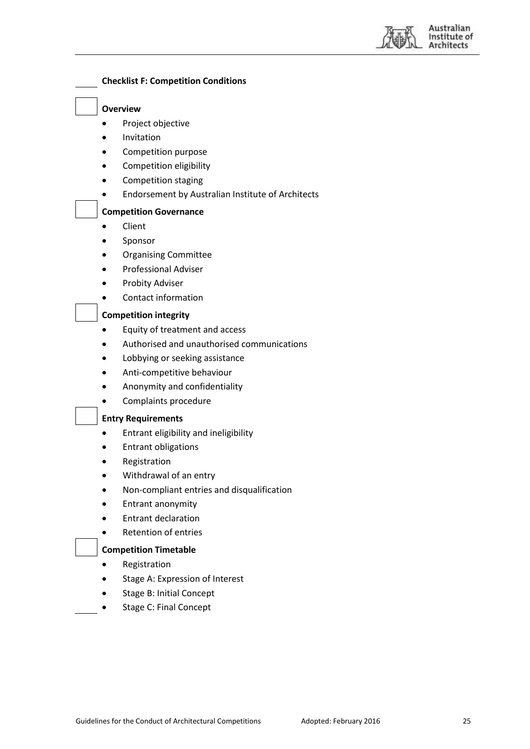

<span id="page-30-0"></span>

- Stage B: Initial Concept
- Stage C: Final Concept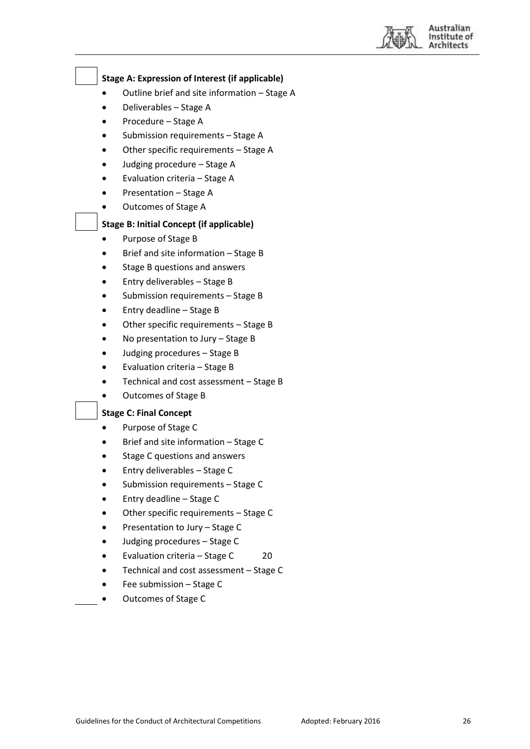



- Technical and cost assessment Stage C
- Fee submission Stage C
- Outcomes of Stage C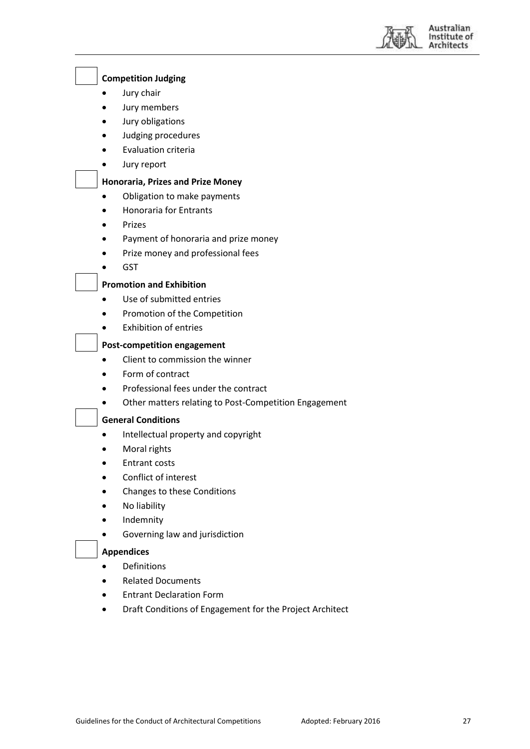



Governing law and jurisdiction

## **Appendices**

- Definitions
- Related Documents
- Entrant Declaration Form
- Draft Conditions of Engagement for the Project Architect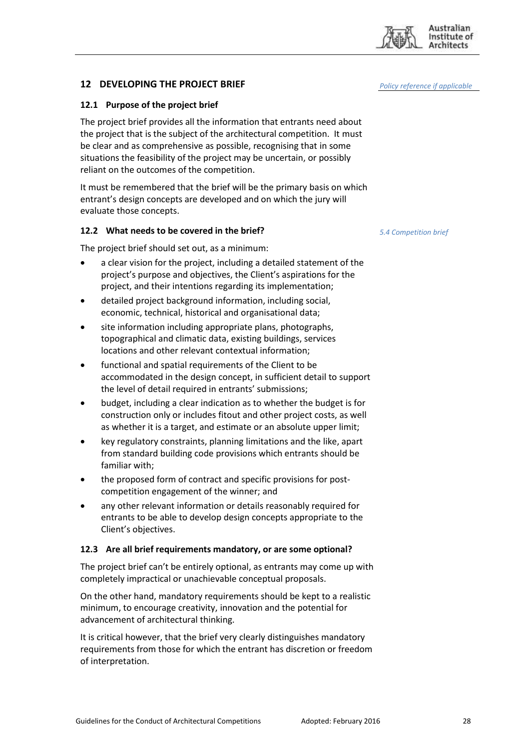## <span id="page-33-0"></span>**12 DEVELOPING THE PROJECT BRIEF** *Policy reference if applicable*

## <span id="page-33-1"></span>**12.1 Purpose of the project brief**

The project brief provides all the information that entrants need about the project that is the subject of the architectural competition. It must be clear and as comprehensive as possible, recognising that in some situations the feasibility of the project may be uncertain, or possibly reliant on the outcomes of the competition.

It must be remembered that the brief will be the primary basis on which entrant's design concepts are developed and on which the jury will evaluate those concepts.

## <span id="page-33-2"></span>**12.2 What needs to be covered in the brief?** *5.4 Competition brief*

The project brief should set out, as a minimum:

- a clear vision for the project, including a detailed statement of the project's purpose and objectives, the Client's aspirations for the project, and their intentions regarding its implementation;
- detailed project background information, including social, economic, technical, historical and organisational data;
- site information including appropriate plans, photographs, topographical and climatic data, existing buildings, services locations and other relevant contextual information;
- functional and spatial requirements of the Client to be accommodated in the design concept, in sufficient detail to support the level of detail required in entrants' submissions;
- budget, including a clear indication as to whether the budget is for construction only or includes fitout and other project costs, as well as whether it is a target, and estimate or an absolute upper limit;
- key regulatory constraints, planning limitations and the like, apart from standard building code provisions which entrants should be familiar with;
- the proposed form of contract and specific provisions for postcompetition engagement of the winner; and
- any other relevant information or details reasonably required for entrants to be able to develop design concepts appropriate to the Client's objectives.

## <span id="page-33-3"></span>**12.3 Are all brief requirements mandatory, or are some optional?**

The project brief can't be entirely optional, as entrants may come up with completely impractical or unachievable conceptual proposals.

On the other hand, mandatory requirements should be kept to a realistic minimum, to encourage creativity, innovation and the potential for advancement of architectural thinking.

It is critical however, that the brief very clearly distinguishes mandatory requirements from those for which the entrant has discretion or freedom of interpretation.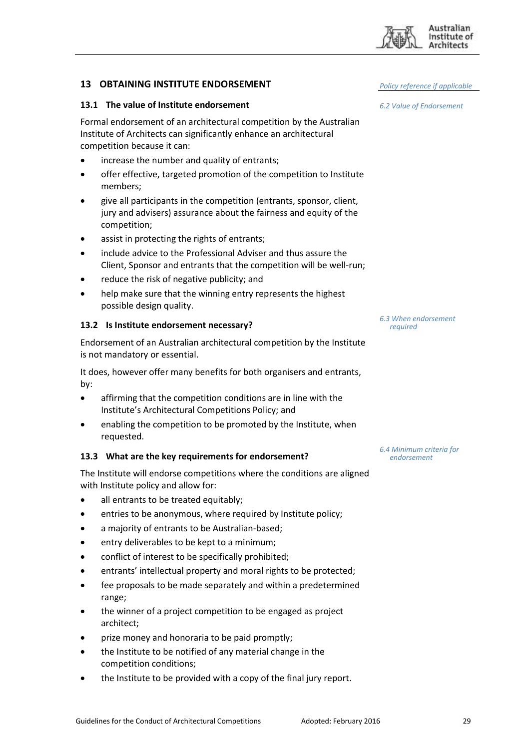

## <span id="page-34-0"></span>**13 OBTAINING INSTITUTE ENDORSEMENT** *Policy reference if applicable*

#### <span id="page-34-1"></span>**13.1 The value of Institute endorsement** *6.2 Value of Endorsement*

Formal endorsement of an architectural competition by the Australian Institute of Architects can significantly enhance an architectural competition because it can:

- increase the number and quality of entrants;
- offer effective, targeted promotion of the competition to Institute members;
- give all participants in the competition (entrants, sponsor, client, jury and advisers) assurance about the fairness and equity of the competition;
- assist in protecting the rights of entrants;
- include advice to the Professional Adviser and thus assure the Client, Sponsor and entrants that the competition will be well-run;
- reduce the risk of negative publicity; and
- help make sure that the winning entry represents the highest possible design quality.

## <span id="page-34-2"></span>**13.2 Is Institute endorsement necessary?**

Endorsement of an Australian architectural competition by the Institute is not mandatory or essential.

It does, however offer many benefits for both organisers and entrants, by:

- affirming that the competition conditions are in line with the Institute's Architectural Competitions Policy; and
- enabling the competition to be promoted by the Institute, when requested.

## <span id="page-34-3"></span>**13.3 What are the key requirements for endorsement?**

The Institute will endorse competitions where the conditions are aligned with Institute policy and allow for:

- all entrants to be treated equitably;
- entries to be anonymous, where required by Institute policy;
- a majority of entrants to be Australian-based;
- entry deliverables to be kept to a minimum;
- conflict of interest to be specifically prohibited;
- entrants' intellectual property and moral rights to be protected;
- fee proposals to be made separately and within a predetermined range;
- the winner of a project competition to be engaged as project architect;
- prize money and honoraria to be paid promptly;
- the Institute to be notified of any material change in the competition conditions;
- the Institute to be provided with a copy of the final jury report.

*6.3 When endorsement required*

*6.4 Minimum criteria for endorsement*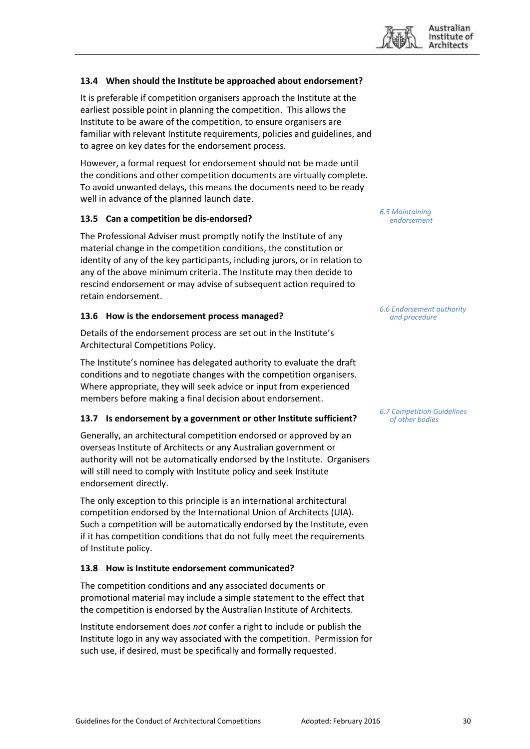

## <span id="page-35-0"></span>**13.4 When should the Institute be approached about endorsement?**

It is preferable if competition organisers approach the Institute at the earliest possible point in planning the competition. This allows the Institute to be aware of the competition, to ensure organisers are familiar with relevant Institute requirements, policies and guidelines, and to agree on key dates for the endorsement process.

However, a formal request for endorsement should not be made until the conditions and other competition documents are virtually complete. To avoid unwanted delays, this means the documents need to be ready well in advance of the planned launch date.

## <span id="page-35-1"></span>**13.5 Can a competition be dis-endorsed?**

The Professional Adviser must promptly notify the Institute of any material change in the competition conditions, the constitution or identity of any of the key participants, including jurors, or in relation to any of the above minimum criteria. The Institute may then decide to rescind endorsement or may advise of subsequent action required to retain endorsement.

## <span id="page-35-2"></span>**13.6 How is the endorsement process managed?**

Details of the endorsement process are set out in the Institute's Architectural Competitions Policy.

The Institute's nominee has delegated authority to evaluate the draft conditions and to negotiate changes with the competition organisers. Where appropriate, they will seek advice or input from experienced members before making a final decision about endorsement.

## <span id="page-35-3"></span>**13.7 Is endorsement by a government or other Institute sufficient?**

Generally, an architectural competition endorsed or approved by an overseas Institute of Architects or any Australian government or authority will not be automatically endorsed by the Institute. Organisers will still need to comply with Institute policy and seek Institute endorsement directly.

The only exception to this principle is an international architectural competition endorsed by the International Union of Architects (UIA). Such a competition will be automatically endorsed by the Institute, even if it has competition conditions that do not fully meet the requirements of Institute policy.

## <span id="page-35-4"></span>**13.8 How is Institute endorsement communicated?**

The competition conditions and any associated documents or promotional material may include a simple statement to the effect that the competition is endorsed by the Australian Institute of Architects.

Institute endorsement does *not* confer a right to include or publish the Institute logo in any way associated with the competition. Permission for such use, if desired, must be specifically and formally requested.

*6.5 Maintaining endorsement*

#### *6.6 Endorsement authority and procedure*

*6.7 Competition Guidelines of other bodies*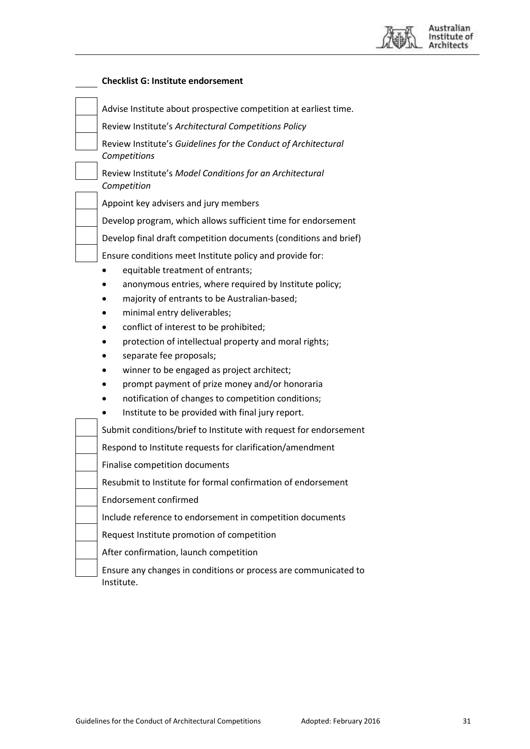

<span id="page-36-0"></span>

|              | <b>Checklist G: Institute endorsement</b>                                                    |
|--------------|----------------------------------------------------------------------------------------------|
|              | Advise Institute about prospective competition at earliest time.                             |
|              | Review Institute's Architectural Competitions Policy                                         |
| Competitions | Review Institute's Guidelines for the Conduct of Architectural                               |
| Competition  | Review Institute's Model Conditions for an Architectural                                     |
|              | Appoint key advisers and jury members                                                        |
|              | Develop program, which allows sufficient time for endorsement                                |
|              | Develop final draft competition documents (conditions and brief)                             |
|              | Ensure conditions meet Institute policy and provide for:                                     |
|              | equitable treatment of entrants;                                                             |
|              | anonymous entries, where required by Institute policy;                                       |
|              | majority of entrants to be Australian-based;                                                 |
|              | minimal entry deliverables;                                                                  |
|              | conflict of interest to be prohibited;                                                       |
|              | protection of intellectual property and moral rights;                                        |
|              | separate fee proposals;                                                                      |
|              | winner to be engaged as project architect;<br>prompt payment of prize money and/or honoraria |
|              | notification of changes to competition conditions;                                           |
|              | Institute to be provided with final jury report.                                             |
|              | Submit conditions/brief to Institute with request for endorsement                            |
|              | Respond to Institute requests for clarification/amendment                                    |
|              | Finalise competition documents                                                               |
|              | Resubmit to Institute for formal confirmation of endorsement                                 |
|              | <b>Endorsement confirmed</b>                                                                 |
|              | Include reference to endorsement in competition documents                                    |
|              |                                                                                              |
|              | Request Institute promotion of competition                                                   |
|              | After confirmation, launch competition                                                       |
| Institute.   | Ensure any changes in conditions or process are communicated to                              |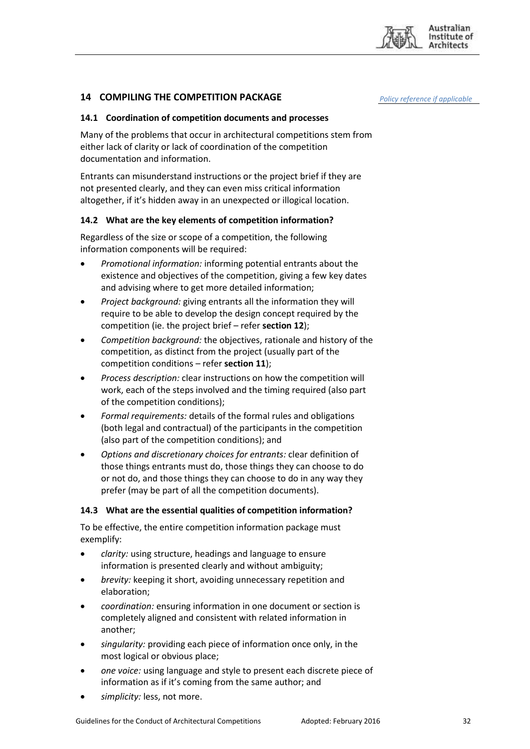

## <span id="page-37-0"></span>**14 COMPILING THE COMPETITION PACKAGE** *Policy reference if applicable*

#### <span id="page-37-1"></span>**14.1 Coordination of competition documents and processes**

Many of the problems that occur in architectural competitions stem from either lack of clarity or lack of coordination of the competition documentation and information.

Entrants can misunderstand instructions or the project brief if they are not presented clearly, and they can even miss critical information altogether, if it's hidden away in an unexpected or illogical location.

## <span id="page-37-2"></span>**14.2 What are the key elements of competition information?**

Regardless of the size or scope of a competition, the following information components will be required:

- *Promotional information:* informing potential entrants about the existence and objectives of the competition, giving a few key dates and advising where to get more detailed information;
- *Project background:* giving entrants all the information they will require to be able to develop the design concept required by the competition (ie. the project brief – refer **section [12](#page-33-0)**);
- *Competition background:* the objectives, rationale and history of the competition, as distinct from the project (usually part of the competition conditions – refer **section [11](#page-28-0)**);
- *Process description:* clear instructions on how the competition will work, each of the steps involved and the timing required (also part of the competition conditions);
- *Formal requirements:* details of the formal rules and obligations (both legal and contractual) of the participants in the competition (also part of the competition conditions); and
- *Options and discretionary choices for entrants:* clear definition of those things entrants must do, those things they can choose to do or not do, and those things they can choose to do in any way they prefer (may be part of all the competition documents).

## <span id="page-37-3"></span>**14.3 What are the essential qualities of competition information?**

To be effective, the entire competition information package must exemplify:

- *clarity:* using structure, headings and language to ensure information is presented clearly and without ambiguity;
- *brevity:* keeping it short, avoiding unnecessary repetition and elaboration;
- *coordination:* ensuring information in one document or section is completely aligned and consistent with related information in another;
- *singularity:* providing each piece of information once only, in the most logical or obvious place;
- *one voice:* using language and style to present each discrete piece of information as if it's coming from the same author; and
- *simplicity:* less, not more.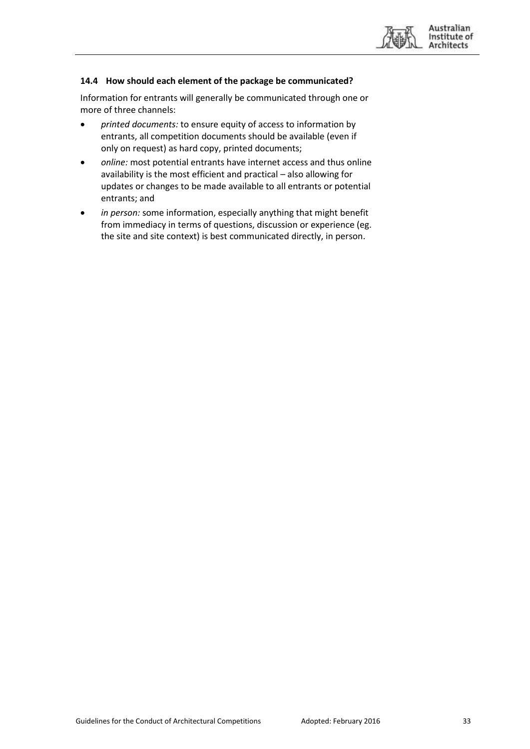## <span id="page-38-0"></span>**14.4 How should each element of the package be communicated?**

Information for entrants will generally be communicated through one or more of three channels:

- *printed documents:* to ensure equity of access to information by entrants, all competition documents should be available (even if only on request) as hard copy, printed documents;
- *online:* most potential entrants have internet access and thus online availability is the most efficient and practical – also allowing for updates or changes to be made available to all entrants or potential entrants; and
- *in person:* some information, especially anything that might benefit from immediacy in terms of questions, discussion or experience (eg. the site and site context) is best communicated directly, in person.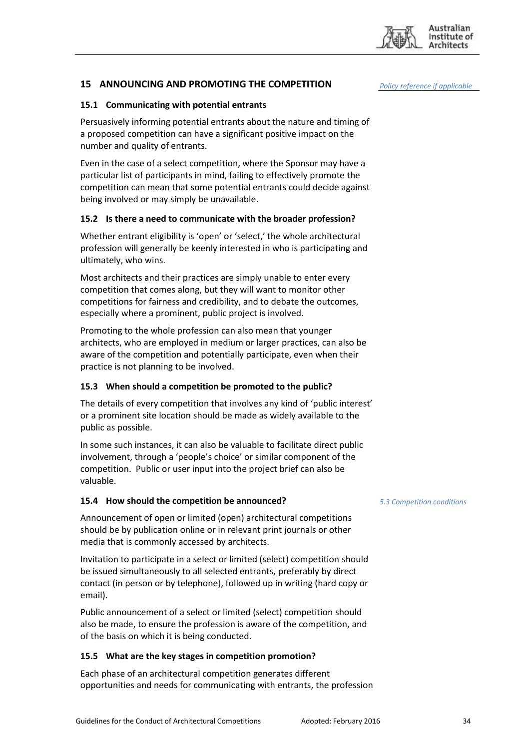

## <span id="page-39-0"></span>**15 ANNOUNCING AND PROMOTING THE COMPETITION** *Policy reference if applicable*

#### <span id="page-39-1"></span>**15.1 Communicating with potential entrants**

Persuasively informing potential entrants about the nature and timing of a proposed competition can have a significant positive impact on the number and quality of entrants.

Even in the case of a select competition, where the Sponsor may have a particular list of participants in mind, failing to effectively promote the competition can mean that some potential entrants could decide against being involved or may simply be unavailable.

#### <span id="page-39-2"></span>**15.2 Is there a need to communicate with the broader profession?**

Whether entrant eligibility is 'open' or 'select,' the whole architectural profession will generally be keenly interested in who is participating and ultimately, who wins.

Most architects and their practices are simply unable to enter every competition that comes along, but they will want to monitor other competitions for fairness and credibility, and to debate the outcomes, especially where a prominent, public project is involved.

Promoting to the whole profession can also mean that younger architects, who are employed in medium or larger practices, can also be aware of the competition and potentially participate, even when their practice is not planning to be involved.

## <span id="page-39-3"></span>**15.3 When should a competition be promoted to the public?**

The details of every competition that involves any kind of 'public interest' or a prominent site location should be made as widely available to the public as possible.

In some such instances, it can also be valuable to facilitate direct public involvement, through a 'people's choice' or similar component of the competition. Public or user input into the project brief can also be valuable.

#### <span id="page-39-4"></span>**15.4 How should the competition be announced?** *5.3 Competition conditions*

Announcement of open or limited (open) architectural competitions should be by publication online or in relevant print journals or other media that is commonly accessed by architects.

Invitation to participate in a select or limited (select) competition should be issued simultaneously to all selected entrants, preferably by direct contact (in person or by telephone), followed up in writing (hard copy or email).

Public announcement of a select or limited (select) competition should also be made, to ensure the profession is aware of the competition, and of the basis on which it is being conducted.

## <span id="page-39-5"></span>**15.5 What are the key stages in competition promotion?**

Each phase of an architectural competition generates different opportunities and needs for communicating with entrants, the profession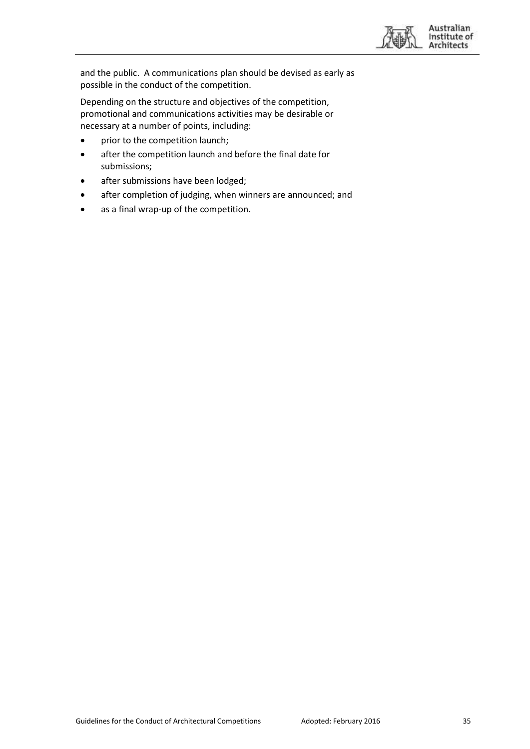

and the public. A communications plan should be devised as early as possible in the conduct of the competition.

Depending on the structure and objectives of the competition, promotional and communications activities may be desirable or necessary at a number of points, including:

- prior to the competition launch;
- after the competition launch and before the final date for submissions;
- after submissions have been lodged;
- after completion of judging, when winners are announced; and
- as a final wrap-up of the competition.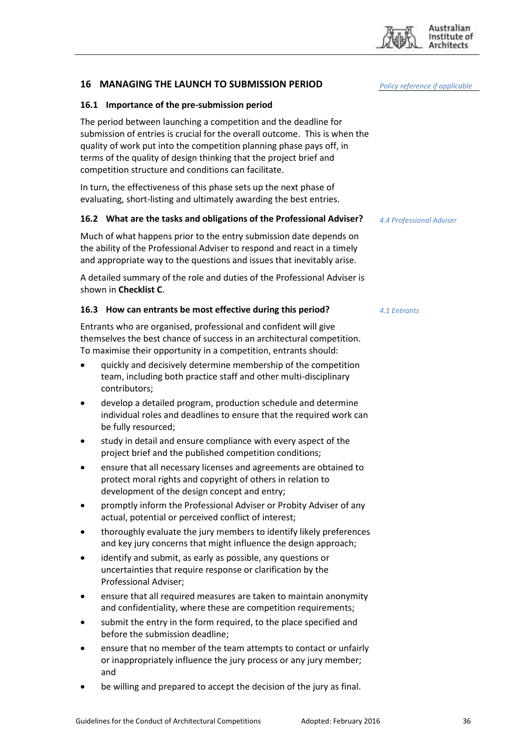

## <span id="page-41-0"></span>**16 MANAGING THE LAUNCH TO SUBMISSION PERIOD** *Policy reference if applicable*

#### <span id="page-41-1"></span>**16.1 Importance of the pre-submission period**

The period between launching a competition and the deadline for submission of entries is crucial for the overall outcome. This is when the quality of work put into the competition planning phase pays off, in terms of the quality of design thinking that the project brief and competition structure and conditions can facilitate.

In turn, the effectiveness of this phase sets up the next phase of evaluating, short-listing and ultimately awarding the best entries.

#### <span id="page-41-2"></span>**16.2 What are the tasks and obligations of the Professional Adviser?** *4.4 Professional Adviser*

Much of what happens prior to the entry submission date depends on the ability of the Professional Adviser to respond and react in a timely and appropriate way to the questions and issues that inevitably arise.

A detailed summary of the role and duties of the Professional Adviser is shown in **Checklist C**.

#### <span id="page-41-3"></span>**16.3 How can entrants be most effective during this period?** *4.1 Entrants*

Entrants who are organised, professional and confident will give themselves the best chance of success in an architectural competition. To maximise their opportunity in a competition, entrants should:

- quickly and decisively determine membership of the competition team, including both practice staff and other multi-disciplinary contributors;
- develop a detailed program, production schedule and determine individual roles and deadlines to ensure that the required work can be fully resourced;
- study in detail and ensure compliance with every aspect of the project brief and the published competition conditions;
- ensure that all necessary licenses and agreements are obtained to protect moral rights and copyright of others in relation to development of the design concept and entry;
- promptly inform the Professional Adviser or Probity Adviser of any actual, potential or perceived conflict of interest;
- thoroughly evaluate the jury members to identify likely preferences and key jury concerns that might influence the design approach;
- identify and submit, as early as possible, any questions or uncertainties that require response or clarification by the Professional Adviser;
- ensure that all required measures are taken to maintain anonymity and confidentiality, where these are competition requirements;
- submit the entry in the form required, to the place specified and before the submission deadline;
- ensure that no member of the team attempts to contact or unfairly or inappropriately influence the jury process or any jury member; and
- be willing and prepared to accept the decision of the jury as final.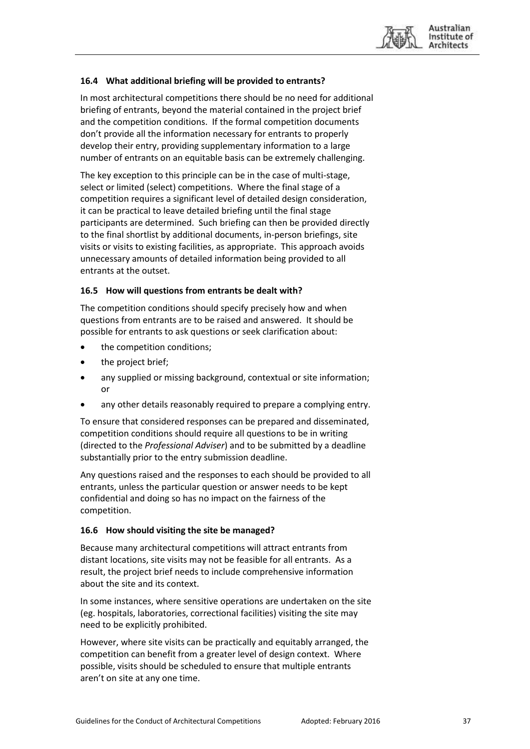## <span id="page-42-0"></span>**16.4 What additional briefing will be provided to entrants?**

In most architectural competitions there should be no need for additional briefing of entrants, beyond the material contained in the project brief and the competition conditions. If the formal competition documents don't provide all the information necessary for entrants to properly develop their entry, providing supplementary information to a large number of entrants on an equitable basis can be extremely challenging.

The key exception to this principle can be in the case of multi-stage, select or limited (select) competitions. Where the final stage of a competition requires a significant level of detailed design consideration, it can be practical to leave detailed briefing until the final stage participants are determined. Such briefing can then be provided directly to the final shortlist by additional documents, in-person briefings, site visits or visits to existing facilities, as appropriate. This approach avoids unnecessary amounts of detailed information being provided to all entrants at the outset.

## <span id="page-42-1"></span>**16.5 How will questions from entrants be dealt with?**

The competition conditions should specify precisely how and when questions from entrants are to be raised and answered. It should be possible for entrants to ask questions or seek clarification about:

- the competition conditions;
- the project brief;
- any supplied or missing background, contextual or site information; or
- any other details reasonably required to prepare a complying entry.

To ensure that considered responses can be prepared and disseminated, competition conditions should require all questions to be in writing (directed to the *Professional Adviser*) and to be submitted by a deadline substantially prior to the entry submission deadline.

Any questions raised and the responses to each should be provided to all entrants, unless the particular question or answer needs to be kept confidential and doing so has no impact on the fairness of the competition.

## <span id="page-42-2"></span>**16.6 How should visiting the site be managed?**

Because many architectural competitions will attract entrants from distant locations, site visits may not be feasible for all entrants. As a result, the project brief needs to include comprehensive information about the site and its context.

In some instances, where sensitive operations are undertaken on the site (eg. hospitals, laboratories, correctional facilities) visiting the site may need to be explicitly prohibited.

However, where site visits can be practically and equitably arranged, the competition can benefit from a greater level of design context. Where possible, visits should be scheduled to ensure that multiple entrants aren't on site at any one time.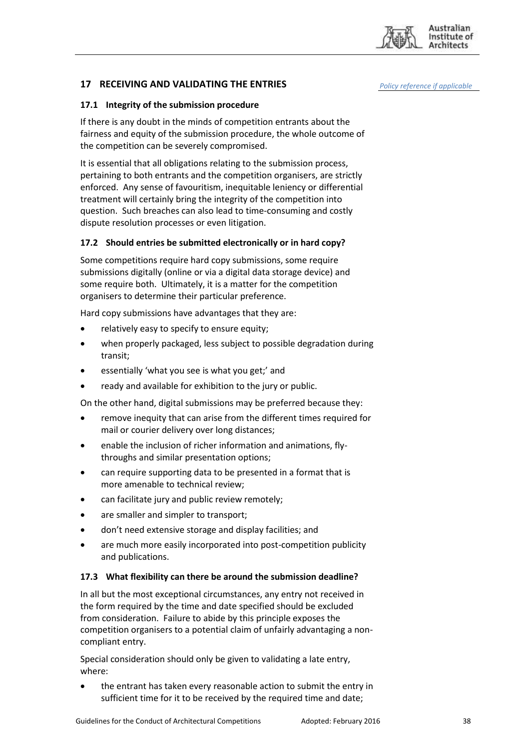

## <span id="page-43-0"></span>**17 RECEIVING AND VALIDATING THE ENTRIES** *Policy reference if applicable*

#### <span id="page-43-1"></span>**17.1 Integrity of the submission procedure**

If there is any doubt in the minds of competition entrants about the fairness and equity of the submission procedure, the whole outcome of the competition can be severely compromised.

It is essential that all obligations relating to the submission process, pertaining to both entrants and the competition organisers, are strictly enforced. Any sense of favouritism, inequitable leniency or differential treatment will certainly bring the integrity of the competition into question. Such breaches can also lead to time-consuming and costly dispute resolution processes or even litigation.

#### <span id="page-43-2"></span>**17.2 Should entries be submitted electronically or in hard copy?**

Some competitions require hard copy submissions, some require submissions digitally (online or via a digital data storage device) and some require both. Ultimately, it is a matter for the competition organisers to determine their particular preference.

Hard copy submissions have advantages that they are:

- relatively easy to specify to ensure equity;
- when properly packaged, less subject to possible degradation during transit;
- essentially 'what you see is what you get;' and
- ready and available for exhibition to the jury or public.

On the other hand, digital submissions may be preferred because they:

- remove inequity that can arise from the different times required for mail or courier delivery over long distances;
- enable the inclusion of richer information and animations, flythroughs and similar presentation options;
- can require supporting data to be presented in a format that is more amenable to technical review;
- can facilitate jury and public review remotely;
- are smaller and simpler to transport;
- don't need extensive storage and display facilities; and
- are much more easily incorporated into post-competition publicity and publications.

#### <span id="page-43-3"></span>**17.3 What flexibility can there be around the submission deadline?**

In all but the most exceptional circumstances, any entry not received in the form required by the time and date specified should be excluded from consideration. Failure to abide by this principle exposes the competition organisers to a potential claim of unfairly advantaging a noncompliant entry.

Special consideration should only be given to validating a late entry, where:

 the entrant has taken every reasonable action to submit the entry in sufficient time for it to be received by the required time and date;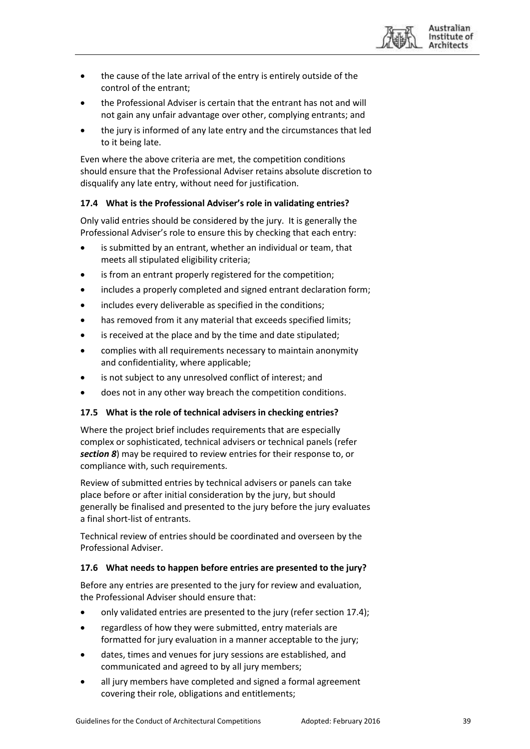- the cause of the late arrival of the entry is entirely outside of the control of the entrant;
- the Professional Adviser is certain that the entrant has not and will not gain any unfair advantage over other, complying entrants; and
- the jury is informed of any late entry and the circumstances that led to it being late.

Even where the above criteria are met, the competition conditions should ensure that the Professional Adviser retains absolute discretion to disqualify any late entry, without need for justification.

## <span id="page-44-0"></span>**17.4 What is the Professional Adviser's role in validating entries?**

Only valid entries should be considered by the jury. It is generally the Professional Adviser's role to ensure this by checking that each entry:

- is submitted by an entrant, whether an individual or team, that meets all stipulated eligibility criteria;
- is from an entrant properly registered for the competition;
- includes a properly completed and signed entrant declaration form;
- includes every deliverable as specified in the conditions;
- has removed from it any material that exceeds specified limits;
- is received at the place and by the time and date stipulated;
- complies with all requirements necessary to maintain anonymity and confidentiality, where applicable;
- is not subject to any unresolved conflict of interest; and
- does not in any other way breach the competition conditions.

## <span id="page-44-1"></span>**17.5 What is the role of technical advisers in checking entries?**

Where the project brief includes requirements that are especially complex or sophisticated, technical advisers or technical panels (refer *section [8](#page-21-0)*) may be required to review entries for their response to, or compliance with, such requirements.

Review of submitted entries by technical advisers or panels can take place before or after initial consideration by the jury, but should generally be finalised and presented to the jury before the jury evaluates a final short-list of entrants.

Technical review of entries should be coordinated and overseen by the Professional Adviser.

## <span id="page-44-2"></span>**17.6 What needs to happen before entries are presented to the jury?**

Before any entries are presented to the jury for review and evaluation, the Professional Adviser should ensure that:

- only validated entries are presented to the jury (refer section [17.4\)](#page-44-0);
- regardless of how they were submitted, entry materials are formatted for jury evaluation in a manner acceptable to the jury;
- dates, times and venues for jury sessions are established, and communicated and agreed to by all jury members;
- all jury members have completed and signed a formal agreement covering their role, obligations and entitlements;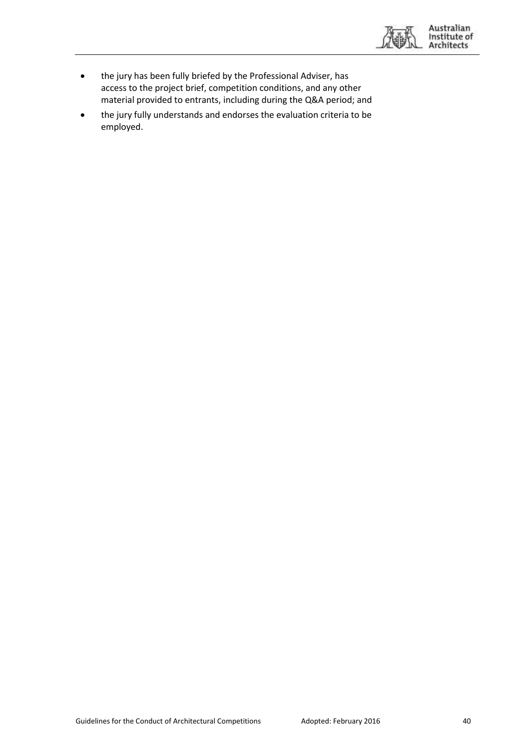

- the jury has been fully briefed by the Professional Adviser, has access to the project brief, competition conditions, and any other material provided to entrants, including during the Q&A period; and
- the jury fully understands and endorses the evaluation criteria to be employed.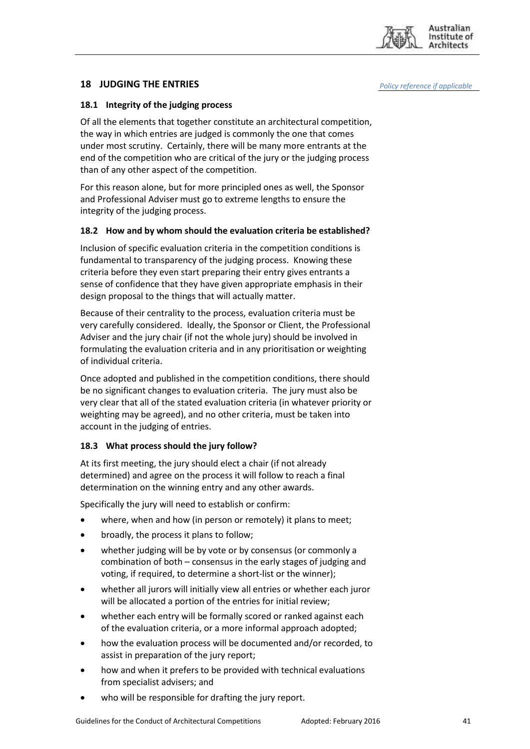

## <span id="page-46-0"></span>**18 JUDGING THE ENTRIES** *Policy reference if applicable*

#### <span id="page-46-1"></span>**18.1 Integrity of the judging process**

Of all the elements that together constitute an architectural competition, the way in which entries are judged is commonly the one that comes under most scrutiny. Certainly, there will be many more entrants at the end of the competition who are critical of the jury or the judging process than of any other aspect of the competition.

For this reason alone, but for more principled ones as well, the Sponsor and Professional Adviser must go to extreme lengths to ensure the integrity of the judging process.

## <span id="page-46-2"></span>**18.2 How and by whom should the evaluation criteria be established?**

Inclusion of specific evaluation criteria in the competition conditions is fundamental to transparency of the judging process. Knowing these criteria before they even start preparing their entry gives entrants a sense of confidence that they have given appropriate emphasis in their design proposal to the things that will actually matter.

Because of their centrality to the process, evaluation criteria must be very carefully considered. Ideally, the Sponsor or Client, the Professional Adviser and the jury chair (if not the whole jury) should be involved in formulating the evaluation criteria and in any prioritisation or weighting of individual criteria.

Once adopted and published in the competition conditions, there should be no significant changes to evaluation criteria. The jury must also be very clear that all of the stated evaluation criteria (in whatever priority or weighting may be agreed), and no other criteria, must be taken into account in the judging of entries.

## <span id="page-46-3"></span>**18.3 What process should the jury follow?**

At its first meeting, the jury should elect a chair (if not already determined) and agree on the process it will follow to reach a final determination on the winning entry and any other awards.

Specifically the jury will need to establish or confirm:

- where, when and how (in person or remotely) it plans to meet;
- broadly, the process it plans to follow;
- whether judging will be by vote or by consensus (or commonly a combination of both – consensus in the early stages of judging and voting, if required, to determine a short-list or the winner);
- whether all jurors will initially view all entries or whether each juror will be allocated a portion of the entries for initial review;
- whether each entry will be formally scored or ranked against each of the evaluation criteria, or a more informal approach adopted;
- how the evaluation process will be documented and/or recorded, to assist in preparation of the jury report;
- how and when it prefers to be provided with technical evaluations from specialist advisers; and
- who will be responsible for drafting the jury report.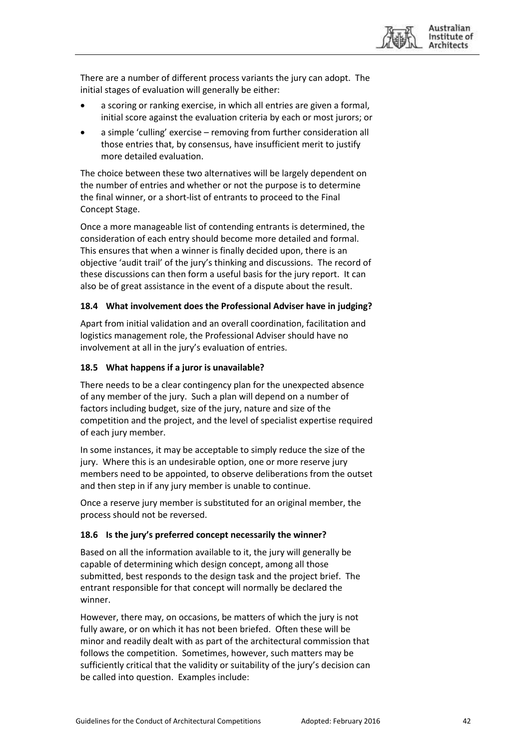There are a number of different process variants the jury can adopt. The initial stages of evaluation will generally be either:

- a scoring or ranking exercise, in which all entries are given a formal, initial score against the evaluation criteria by each or most jurors; or
- a simple 'culling' exercise removing from further consideration all those entries that, by consensus, have insufficient merit to justify more detailed evaluation.

The choice between these two alternatives will be largely dependent on the number of entries and whether or not the purpose is to determine the final winner, or a short-list of entrants to proceed to the Final Concept Stage.

Once a more manageable list of contending entrants is determined, the consideration of each entry should become more detailed and formal. This ensures that when a winner is finally decided upon, there is an objective 'audit trail' of the jury's thinking and discussions. The record of these discussions can then form a useful basis for the jury report. It can also be of great assistance in the event of a dispute about the result.

## <span id="page-47-0"></span>**18.4 What involvement does the Professional Adviser have in judging?**

Apart from initial validation and an overall coordination, facilitation and logistics management role, the Professional Adviser should have no involvement at all in the jury's evaluation of entries.

## <span id="page-47-1"></span>**18.5 What happens if a juror is unavailable?**

There needs to be a clear contingency plan for the unexpected absence of any member of the jury. Such a plan will depend on a number of factors including budget, size of the jury, nature and size of the competition and the project, and the level of specialist expertise required of each jury member.

In some instances, it may be acceptable to simply reduce the size of the jury. Where this is an undesirable option, one or more reserve jury members need to be appointed, to observe deliberations from the outset and then step in if any jury member is unable to continue.

Once a reserve jury member is substituted for an original member, the process should not be reversed.

## <span id="page-47-2"></span>**18.6 Is the jury's preferred concept necessarily the winner?**

Based on all the information available to it, the jury will generally be capable of determining which design concept, among all those submitted, best responds to the design task and the project brief. The entrant responsible for that concept will normally be declared the winner.

However, there may, on occasions, be matters of which the jury is not fully aware, or on which it has not been briefed. Often these will be minor and readily dealt with as part of the architectural commission that follows the competition. Sometimes, however, such matters may be sufficiently critical that the validity or suitability of the jury's decision can be called into question. Examples include: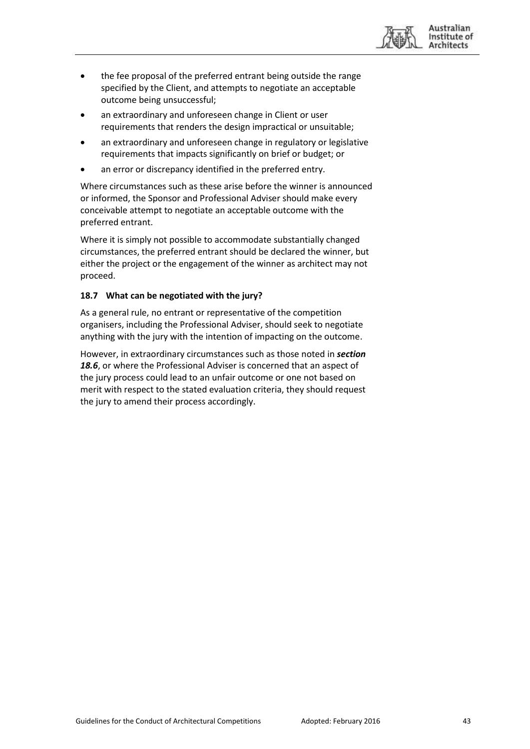

- the fee proposal of the preferred entrant being outside the range specified by the Client, and attempts to negotiate an acceptable outcome being unsuccessful;
- an extraordinary and unforeseen change in Client or user requirements that renders the design impractical or unsuitable;
- an extraordinary and unforeseen change in regulatory or legislative requirements that impacts significantly on brief or budget; or
- an error or discrepancy identified in the preferred entry.

Where circumstances such as these arise before the winner is announced or informed, the Sponsor and Professional Adviser should make every conceivable attempt to negotiate an acceptable outcome with the preferred entrant.

Where it is simply not possible to accommodate substantially changed circumstances, the preferred entrant should be declared the winner, but either the project or the engagement of the winner as architect may not proceed.

## <span id="page-48-0"></span>**18.7 What can be negotiated with the jury?**

As a general rule, no entrant or representative of the competition organisers, including the Professional Adviser, should seek to negotiate anything with the jury with the intention of impacting on the outcome.

However, in extraordinary circumstances such as those noted in *section [18.6](#page-47-2)*, or where the Professional Adviser is concerned that an aspect of the jury process could lead to an unfair outcome or one not based on merit with respect to the stated evaluation criteria, they should request the jury to amend their process accordingly.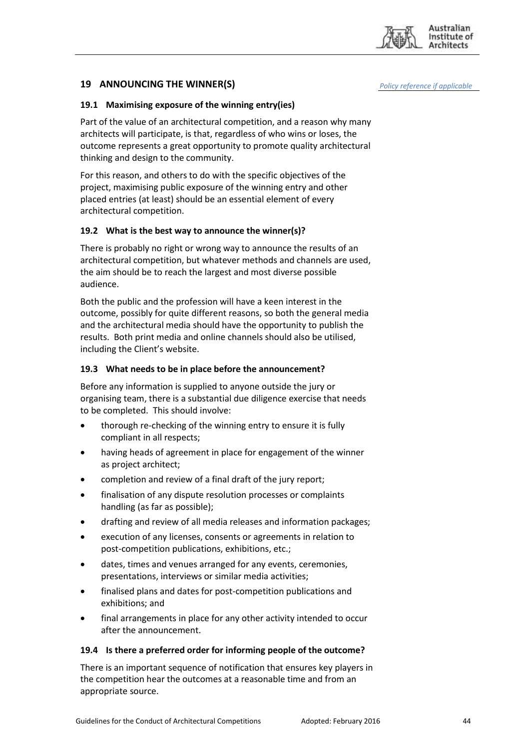

## <span id="page-49-0"></span>**19 ANNOUNCING THE WINNER(S)** *Policy reference if applicable*

#### <span id="page-49-1"></span>**19.1 Maximising exposure of the winning entry(ies)**

Part of the value of an architectural competition, and a reason why many architects will participate, is that, regardless of who wins or loses, the outcome represents a great opportunity to promote quality architectural thinking and design to the community.

For this reason, and others to do with the specific objectives of the project, maximising public exposure of the winning entry and other placed entries (at least) should be an essential element of every architectural competition.

#### <span id="page-49-2"></span>**19.2 What is the best way to announce the winner(s)?**

There is probably no right or wrong way to announce the results of an architectural competition, but whatever methods and channels are used, the aim should be to reach the largest and most diverse possible audience.

Both the public and the profession will have a keen interest in the outcome, possibly for quite different reasons, so both the general media and the architectural media should have the opportunity to publish the results. Both print media and online channels should also be utilised, including the Client's website.

#### <span id="page-49-3"></span>**19.3 What needs to be in place before the announcement?**

Before any information is supplied to anyone outside the jury or organising team, there is a substantial due diligence exercise that needs to be completed. This should involve:

- thorough re-checking of the winning entry to ensure it is fully compliant in all respects;
- having heads of agreement in place for engagement of the winner as project architect;
- completion and review of a final draft of the jury report;
- finalisation of any dispute resolution processes or complaints handling (as far as possible);
- drafting and review of all media releases and information packages;
- execution of any licenses, consents or agreements in relation to post-competition publications, exhibitions, etc.;
- dates, times and venues arranged for any events, ceremonies, presentations, interviews or similar media activities;
- finalised plans and dates for post-competition publications and exhibitions; and
- final arrangements in place for any other activity intended to occur after the announcement.

#### <span id="page-49-4"></span>**19.4 Is there a preferred order for informing people of the outcome?**

There is an important sequence of notification that ensures key players in the competition hear the outcomes at a reasonable time and from an appropriate source.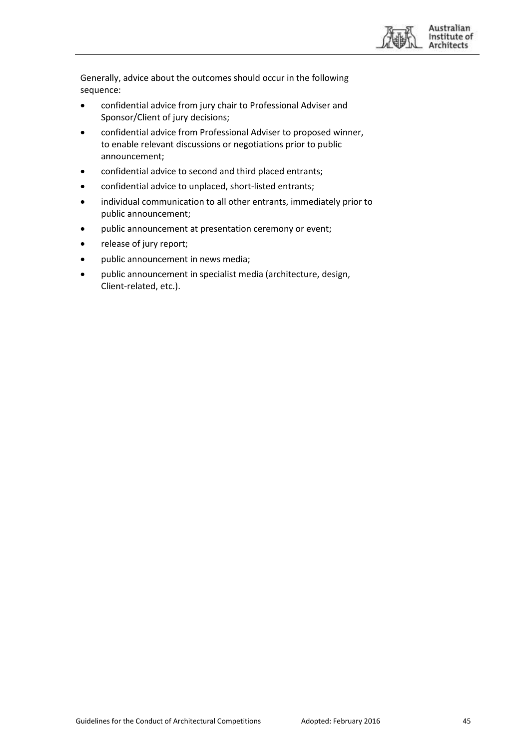Generally, advice about the outcomes should occur in the following sequence:

- confidential advice from jury chair to Professional Adviser and Sponsor/Client of jury decisions;
- confidential advice from Professional Adviser to proposed winner, to enable relevant discussions or negotiations prior to public announcement;
- confidential advice to second and third placed entrants;
- confidential advice to unplaced, short-listed entrants;
- individual communication to all other entrants, immediately prior to public announcement;
- public announcement at presentation ceremony or event;
- release of jury report;
- public announcement in news media;
- public announcement in specialist media (architecture, design, Client-related, etc.).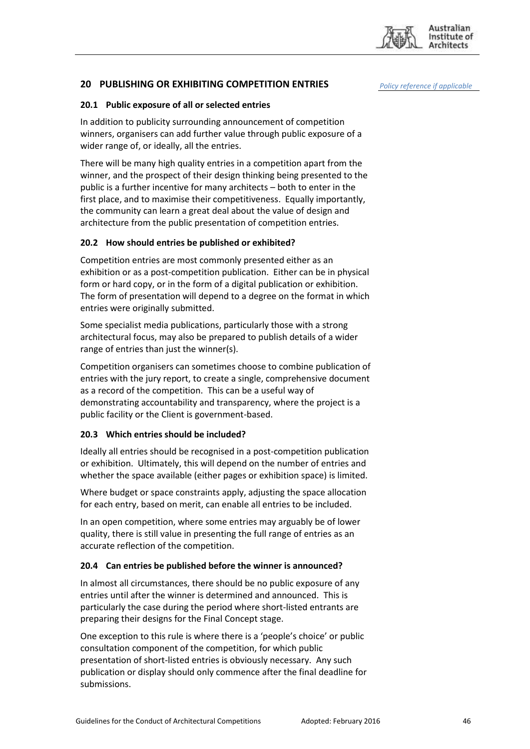

## <span id="page-51-0"></span>**20 PUBLISHING OR EXHIBITING COMPETITION ENTRIES** *Policy reference if applicable*

#### <span id="page-51-1"></span>**20.1 Public exposure of all or selected entries**

In addition to publicity surrounding announcement of competition winners, organisers can add further value through public exposure of a wider range of, or ideally, all the entries.

There will be many high quality entries in a competition apart from the winner, and the prospect of their design thinking being presented to the public is a further incentive for many architects – both to enter in the first place, and to maximise their competitiveness. Equally importantly, the community can learn a great deal about the value of design and architecture from the public presentation of competition entries.

## <span id="page-51-2"></span>**20.2 How should entries be published or exhibited?**

Competition entries are most commonly presented either as an exhibition or as a post-competition publication. Either can be in physical form or hard copy, or in the form of a digital publication or exhibition. The form of presentation will depend to a degree on the format in which entries were originally submitted.

Some specialist media publications, particularly those with a strong architectural focus, may also be prepared to publish details of a wider range of entries than just the winner(s).

Competition organisers can sometimes choose to combine publication of entries with the jury report, to create a single, comprehensive document as a record of the competition. This can be a useful way of demonstrating accountability and transparency, where the project is a public facility or the Client is government-based.

## <span id="page-51-3"></span>**20.3 Which entries should be included?**

Ideally all entries should be recognised in a post-competition publication or exhibition. Ultimately, this will depend on the number of entries and whether the space available (either pages or exhibition space) is limited.

Where budget or space constraints apply, adjusting the space allocation for each entry, based on merit, can enable all entries to be included.

In an open competition, where some entries may arguably be of lower quality, there is still value in presenting the full range of entries as an accurate reflection of the competition.

## <span id="page-51-4"></span>**20.4 Can entries be published before the winner is announced?**

In almost all circumstances, there should be no public exposure of any entries until after the winner is determined and announced. This is particularly the case during the period where short-listed entrants are preparing their designs for the Final Concept stage.

One exception to this rule is where there is a 'people's choice' or public consultation component of the competition, for which public presentation of short-listed entries is obviously necessary. Any such publication or display should only commence after the final deadline for submissions.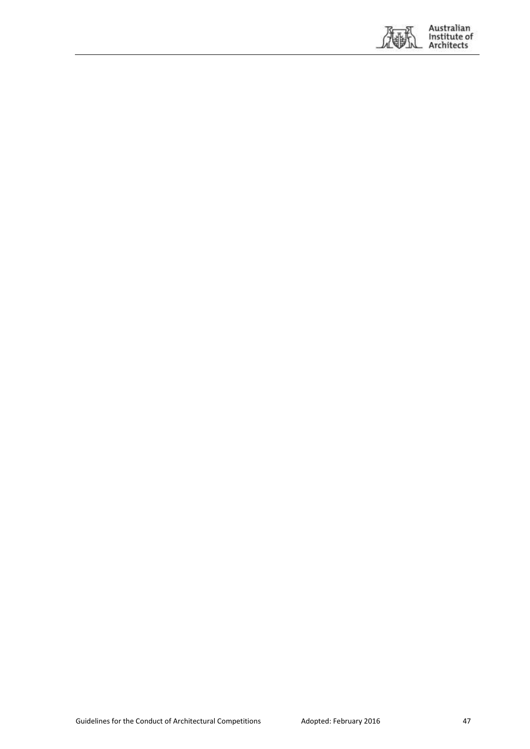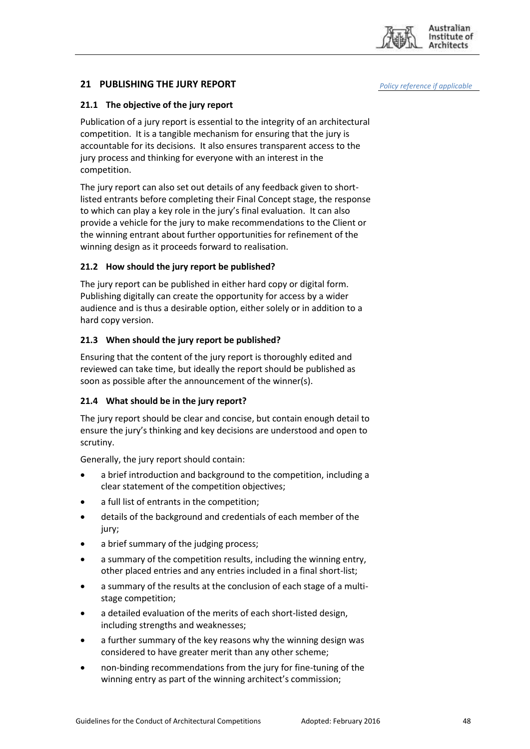

## <span id="page-53-0"></span>**21 PUBLISHING THE JURY REPORT** *Policy reference if applicable*

## <span id="page-53-1"></span>**21.1 The objective of the jury report**

Publication of a jury report is essential to the integrity of an architectural competition. It is a tangible mechanism for ensuring that the jury is accountable for its decisions. It also ensures transparent access to the jury process and thinking for everyone with an interest in the competition.

The jury report can also set out details of any feedback given to shortlisted entrants before completing their Final Concept stage, the response to which can play a key role in the jury's final evaluation. It can also provide a vehicle for the jury to make recommendations to the Client or the winning entrant about further opportunities for refinement of the winning design as it proceeds forward to realisation.

## <span id="page-53-2"></span>**21.2 How should the jury report be published?**

The jury report can be published in either hard copy or digital form. Publishing digitally can create the opportunity for access by a wider audience and is thus a desirable option, either solely or in addition to a hard copy version.

## <span id="page-53-3"></span>**21.3 When should the jury report be published?**

Ensuring that the content of the jury report is thoroughly edited and reviewed can take time, but ideally the report should be published as soon as possible after the announcement of the winner(s).

## <span id="page-53-4"></span>**21.4 What should be in the jury report?**

The jury report should be clear and concise, but contain enough detail to ensure the jury's thinking and key decisions are understood and open to scrutiny.

Generally, the jury report should contain:

- a brief introduction and background to the competition, including a clear statement of the competition objectives;
- a full list of entrants in the competition;
- details of the background and credentials of each member of the jury;
- a brief summary of the judging process;
- a summary of the competition results, including the winning entry, other placed entries and any entries included in a final short-list;
- a summary of the results at the conclusion of each stage of a multistage competition;
- a detailed evaluation of the merits of each short-listed design, including strengths and weaknesses;
- a further summary of the key reasons why the winning design was considered to have greater merit than any other scheme;
- non-binding recommendations from the jury for fine-tuning of the winning entry as part of the winning architect's commission;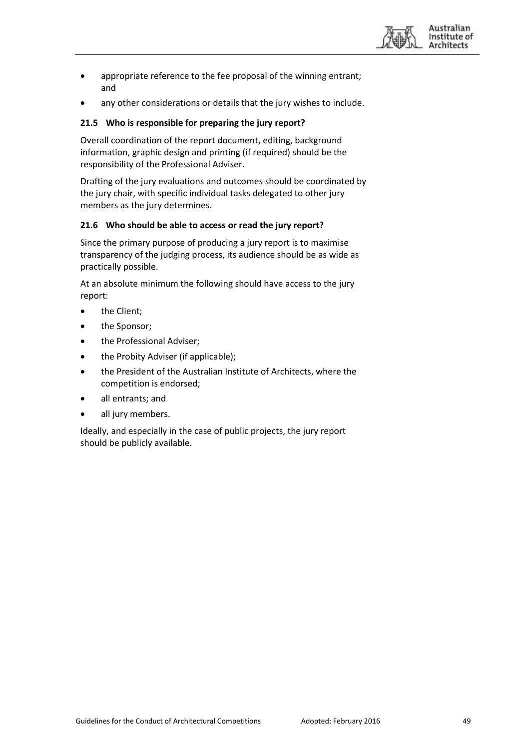

- appropriate reference to the fee proposal of the winning entrant; and
- any other considerations or details that the jury wishes to include.

## <span id="page-54-0"></span>**21.5 Who is responsible for preparing the jury report?**

Overall coordination of the report document, editing, background information, graphic design and printing (if required) should be the responsibility of the Professional Adviser.

Drafting of the jury evaluations and outcomes should be coordinated by the jury chair, with specific individual tasks delegated to other jury members as the jury determines.

## <span id="page-54-1"></span>**21.6 Who should be able to access or read the jury report?**

Since the primary purpose of producing a jury report is to maximise transparency of the judging process, its audience should be as wide as practically possible.

At an absolute minimum the following should have access to the jury report:

- the Client;
- the Sponsor;
- the Professional Adviser;
- the Probity Adviser (if applicable);
- the President of the Australian Institute of Architects, where the competition is endorsed;
- all entrants; and
- all jury members.

Ideally, and especially in the case of public projects, the jury report should be publicly available.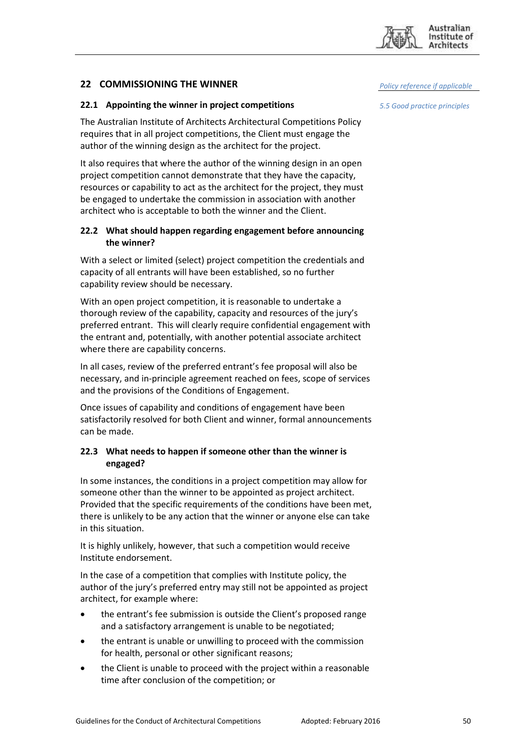

## <span id="page-55-0"></span>**22 COMMISSIONING THE WINNER** *Policy reference if applicable*

## <span id="page-55-1"></span>**22.1 Appointing the winner in project competitions** *5.5 Good practice principles*

The Australian Institute of Architects Architectural Competitions Policy requires that in all project competitions, the Client must engage the author of the winning design as the architect for the project.

It also requires that where the author of the winning design in an open project competition cannot demonstrate that they have the capacity, resources or capability to act as the architect for the project, they must be engaged to undertake the commission in association with another architect who is acceptable to both the winner and the Client.

## <span id="page-55-2"></span>**22.2 What should happen regarding engagement before announcing the winner?**

With a select or limited (select) project competition the credentials and capacity of all entrants will have been established, so no further capability review should be necessary.

With an open project competition, it is reasonable to undertake a thorough review of the capability, capacity and resources of the jury's preferred entrant. This will clearly require confidential engagement with the entrant and, potentially, with another potential associate architect where there are capability concerns.

In all cases, review of the preferred entrant's fee proposal will also be necessary, and in-principle agreement reached on fees, scope of services and the provisions of the Conditions of Engagement.

Once issues of capability and conditions of engagement have been satisfactorily resolved for both Client and winner, formal announcements can be made.

## <span id="page-55-3"></span>**22.3 What needs to happen if someone other than the winner is engaged?**

In some instances, the conditions in a project competition may allow for someone other than the winner to be appointed as project architect. Provided that the specific requirements of the conditions have been met, there is unlikely to be any action that the winner or anyone else can take in this situation.

It is highly unlikely, however, that such a competition would receive Institute endorsement.

In the case of a competition that complies with Institute policy, the author of the jury's preferred entry may still not be appointed as project architect, for example where:

- the entrant's fee submission is outside the Client's proposed range and a satisfactory arrangement is unable to be negotiated;
- the entrant is unable or unwilling to proceed with the commission for health, personal or other significant reasons;
- the Client is unable to proceed with the project within a reasonable time after conclusion of the competition; or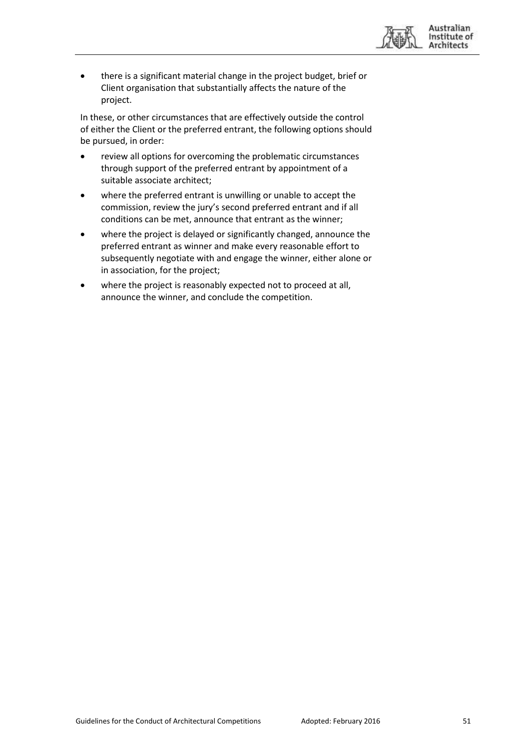

 there is a significant material change in the project budget, brief or Client organisation that substantially affects the nature of the project.

In these, or other circumstances that are effectively outside the control of either the Client or the preferred entrant, the following options should be pursued, in order:

- review all options for overcoming the problematic circumstances through support of the preferred entrant by appointment of a suitable associate architect;
- where the preferred entrant is unwilling or unable to accept the commission, review the jury's second preferred entrant and if all conditions can be met, announce that entrant as the winner;
- where the project is delayed or significantly changed, announce the preferred entrant as winner and make every reasonable effort to subsequently negotiate with and engage the winner, either alone or in association, for the project;
- where the project is reasonably expected not to proceed at all, announce the winner, and conclude the competition.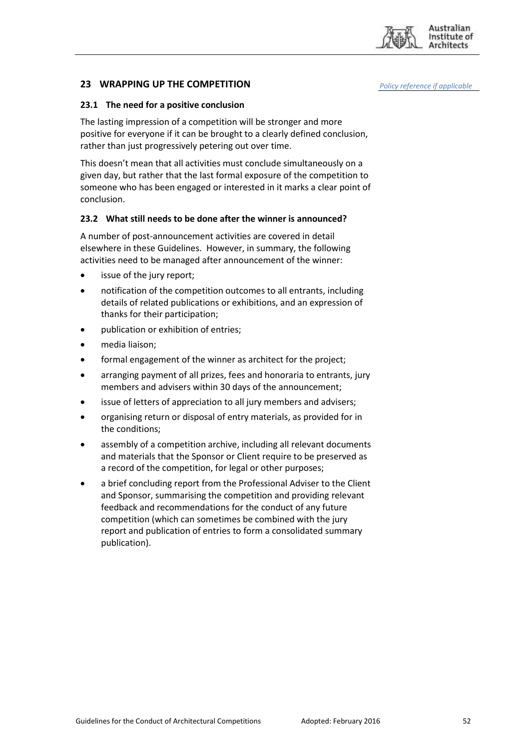

## <span id="page-57-0"></span>**23 WRAPPING UP THE COMPETITION** *Policy reference if applicable*

#### <span id="page-57-1"></span>**23.1 The need for a positive conclusion**

The lasting impression of a competition will be stronger and more positive for everyone if it can be brought to a clearly defined conclusion, rather than just progressively petering out over time.

This doesn't mean that all activities must conclude simultaneously on a given day, but rather that the last formal exposure of the competition to someone who has been engaged or interested in it marks a clear point of conclusion.

## <span id="page-57-2"></span>**23.2 What still needs to be done after the winner is announced?**

A number of post-announcement activities are covered in detail elsewhere in these Guidelines. However, in summary, the following activities need to be managed after announcement of the winner:

- issue of the jury report;
- notification of the competition outcomes to all entrants, including details of related publications or exhibitions, and an expression of thanks for their participation;
- publication or exhibition of entries;
- media liaison;
- formal engagement of the winner as architect for the project;
- arranging payment of all prizes, fees and honoraria to entrants, jury members and advisers within 30 days of the announcement;
- issue of letters of appreciation to all jury members and advisers;
- organising return or disposal of entry materials, as provided for in the conditions;
- assembly of a competition archive, including all relevant documents and materials that the Sponsor or Client require to be preserved as a record of the competition, for legal or other purposes;
- a brief concluding report from the Professional Adviser to the Client and Sponsor, summarising the competition and providing relevant feedback and recommendations for the conduct of any future competition (which can sometimes be combined with the jury report and publication of entries to form a consolidated summary publication).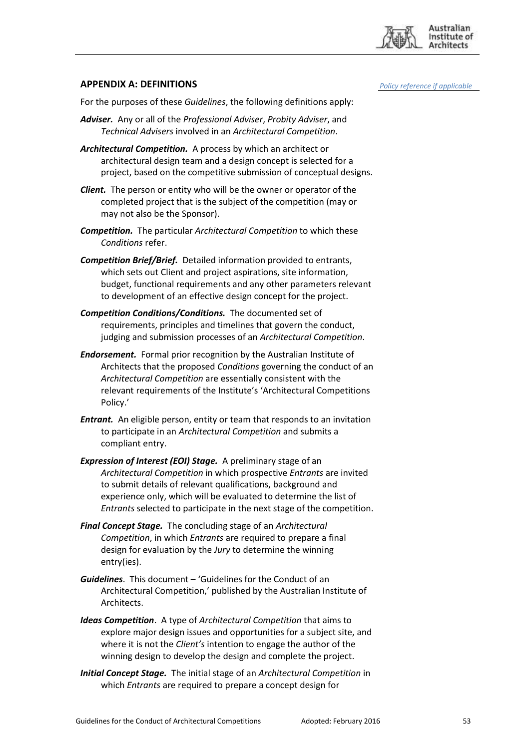

## <span id="page-58-0"></span>**APPENDIX A: DEFINITIONS** *Policy reference if applicable*

For the purposes of these *Guidelines*, the following definitions apply:

- *Adviser.* Any or all of the *Professional Adviser*, *Probity Adviser*, and *Technical Advisers* involved in an *Architectural Competition*.
- *Architectural Competition.* A process by which an architect or architectural design team and a design concept is selected for a project, based on the competitive submission of conceptual designs.
- *Client.* The person or entity who will be the owner or operator of the completed project that is the subject of the competition (may or may not also be the Sponsor).
- *Competition.* The particular *Architectural Competition* to which these *Conditions* refer.
- *Competition Brief/Brief.* Detailed information provided to entrants, which sets out Client and project aspirations, site information, budget, functional requirements and any other parameters relevant to development of an effective design concept for the project.
- *Competition Conditions/Conditions.* The documented set of requirements, principles and timelines that govern the conduct, judging and submission processes of an *Architectural Competition*.
- *Endorsement.* Formal prior recognition by the Australian Institute of Architects that the proposed *Conditions* governing the conduct of an *Architectural Competition* are essentially consistent with the relevant requirements of the Institute's 'Architectural Competitions Policy.'
- *Entrant.* An eligible person, entity or team that responds to an invitation to participate in an *Architectural Competition* and submits a compliant entry.
- *Expression of Interest (EOI) Stage.* A preliminary stage of an *Architectural Competition* in which prospective *Entrants* are invited to submit details of relevant qualifications, background and experience only, which will be evaluated to determine the list of *Entrants* selected to participate in the next stage of the competition.
- *Final Concept Stage.* The concluding stage of an *Architectural Competition*, in which *Entrants* are required to prepare a final design for evaluation by the *Jury* to determine the winning entry(ies).
- *Guidelines*. This document 'Guidelines for the Conduct of an Architectural Competition,' published by the Australian Institute of Architects.
- *Ideas Competition*. A type of *Architectural Competition* that aims to explore major design issues and opportunities for a subject site, and where it is not the *Client's* intention to engage the author of the winning design to develop the design and complete the project.
- *Initial Concept Stage.* The initial stage of an *Architectural Competition* in which *Entrants* are required to prepare a concept design for